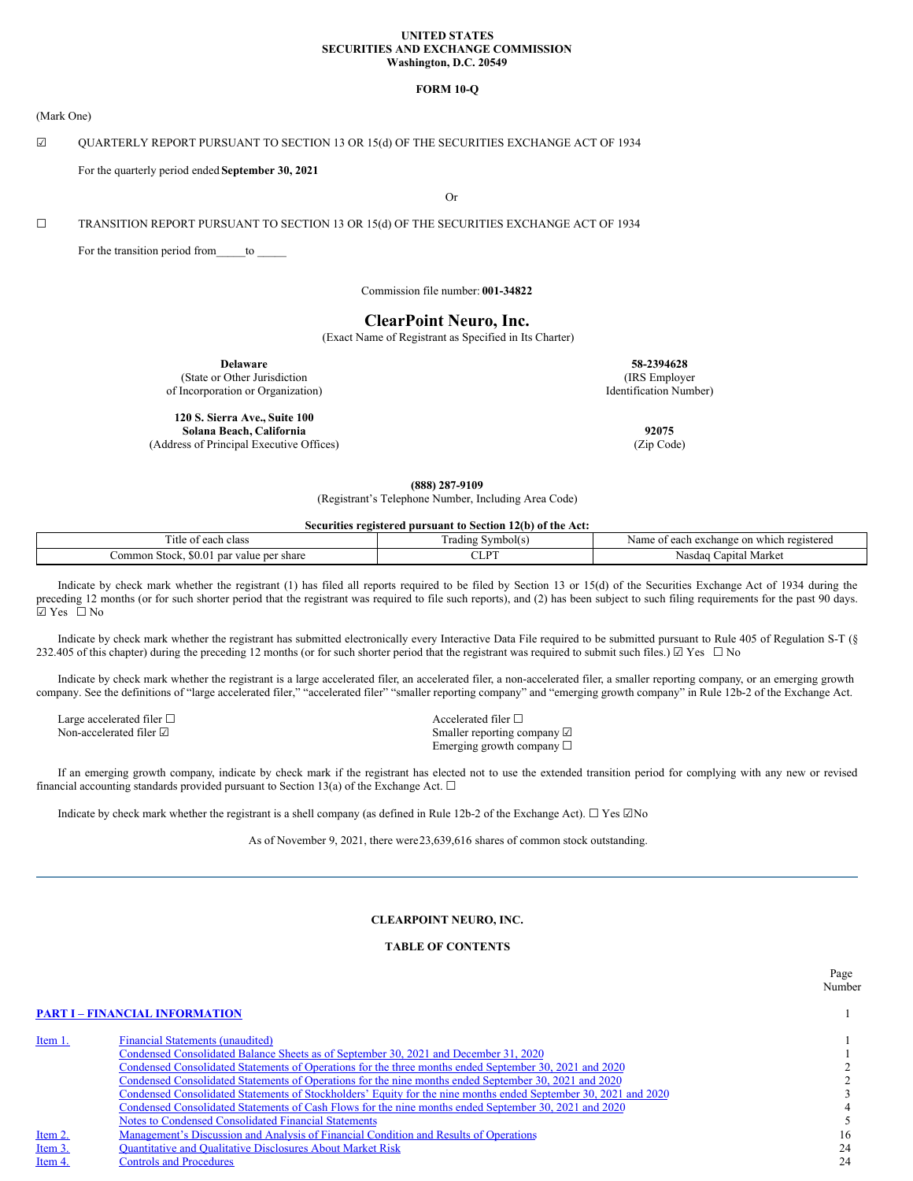### **UNITED STATES SECURITIES AND EXCHANGE COMMISSION Washington, D.C. 20549**

# **FORM 10-Q**

<span id="page-0-0"></span>(Mark One)

# ☑ QUARTERLY REPORT PURSUANT TO SECTION 13 OR 15(d) OF THE SECURITIES EXCHANGE ACT OF 1934

For the quarterly period ended **September 30, 2021**

Or

☐ TRANSITION REPORT PURSUANT TO SECTION 13 OR 15(d) OF THE SECURITIES EXCHANGE ACT OF 1934

For the transition period from \_\_\_\_\_to \_

Commission file number: **001-34822**

# **ClearPoint Neuro, Inc.**

(Exact Name of Registrant as Specified in Its Charter)

(State or Other Jurisdiction (IRS Employer) (IRS Employer<br>
Incorporation or Organization (IRS Employer Mentification Number) of Incorporation or Organization)

**120 S. Sierra Ave., Suite 100 Solana Beach, California 92075**

(Address of Principal Executive Offices) (Zip Code)

**Delaware 58-2394628**

**(888) 287-9109**

(Registrant's Telephone Number, Including Area Code)

### **Securities registered pursuant to Section 12(b) of the Act:**

| ÷-<br>l'1tle<br>class<br>egor<br>$^{\rm{O}}$<br>саы                    | $\sim$<br>`vmb⊾<br>.radıng<br>лим | ı which registered<br>Name.<br>exchange<br>n<br>ОT<br>сасн |
|------------------------------------------------------------------------|-----------------------------------|------------------------------------------------------------|
| . .<br>$\sim$<br>.ommor<br>Stock.<br>per share<br>value<br>nar<br>70.O | $\alpha$<br>◡∸                    | * orizet –<br>anıtal<br>Nasdag<br>1. nu<br>. <u>. .</u>    |

Indicate by check mark whether the registrant (1) has filed all reports required to be filed by Section 13 or 15(d) of the Securities Exchange Act of 1934 during the preceding 12 months (or for such shorter period that the registrant was required to file such reports), and (2) has been subject to such filing requirements for the past 90 days. ☑ Yes ☐ No

Indicate by check mark whether the registrant has submitted electronically every Interactive Data File required to be submitted pursuant to Rule 405 of Regulation S-T (§ 232.405 of this chapter) during the preceding 12 months (or for such shorter period that the registrant was required to submit such files.)  $\boxtimes$  Yes  $\Box$  No

Indicate by check mark whether the registrant is a large accelerated filer, an accelerated filer, a non-accelerated filer, a smaller reporting company, or an emerging growth company. See the definitions of "large accelerated filer," "accelerated filer" "smaller reporting company" and "emerging growth company" in Rule 12b-2 of the Exchange Act.

Large accelerated filer □ <br>
Accelerated filer □

Non-accelerated filer ☑ Smaller reporting company ☑ Emerging growth company ☐

If an emerging growth company, indicate by check mark if the registrant has elected not to use the extended transition period for complying with any new or revised financial accounting standards provided pursuant to Section 13(a) of the Exchange Act.  $\Box$ 

Indicate by check mark whether the registrant is a shell company (as defined in Rule 12b-2 of the Exchange Act). □ Yes ☑No

As of November 9, 2021, there were23,639,616 shares of common stock outstanding.

### **CLEARPOINT NEURO, INC.**

### **TABLE OF CONTENTS**

# **PART I – FINANCIAL [INFORMATION](#page-0-0)** 1

| Item 1. | <b>Financial Statements (unaudited)</b>                                                                         |    |
|---------|-----------------------------------------------------------------------------------------------------------------|----|
|         | Condensed Consolidated Balance Sheets as of September 30, 2021 and December 31, 2020                            |    |
|         | Condensed Consolidated Statements of Operations for the three months ended September 30, 2021 and 2020          |    |
|         | Condensed Consolidated Statements of Operations for the nine months ended September 30, 2021 and 2020           |    |
|         | Condensed Consolidated Statements of Stockholders' Equity for the nine months ended September 30, 2021 and 2020 |    |
|         | Condensed Consolidated Statements of Cash Flows for the nine months ended September 30, 2021 and 2020           |    |
|         | Notes to Condensed Consolidated Financial Statements                                                            |    |
| Item 2. | Management's Discussion and Analysis of Financial Condition and Results of Operations                           | 16 |
| Item 3. | <b>Quantitative and Qualitative Disclosures About Market Risk</b>                                               | 24 |
| Item 4. | <b>Controls and Procedures</b>                                                                                  |    |



Page Number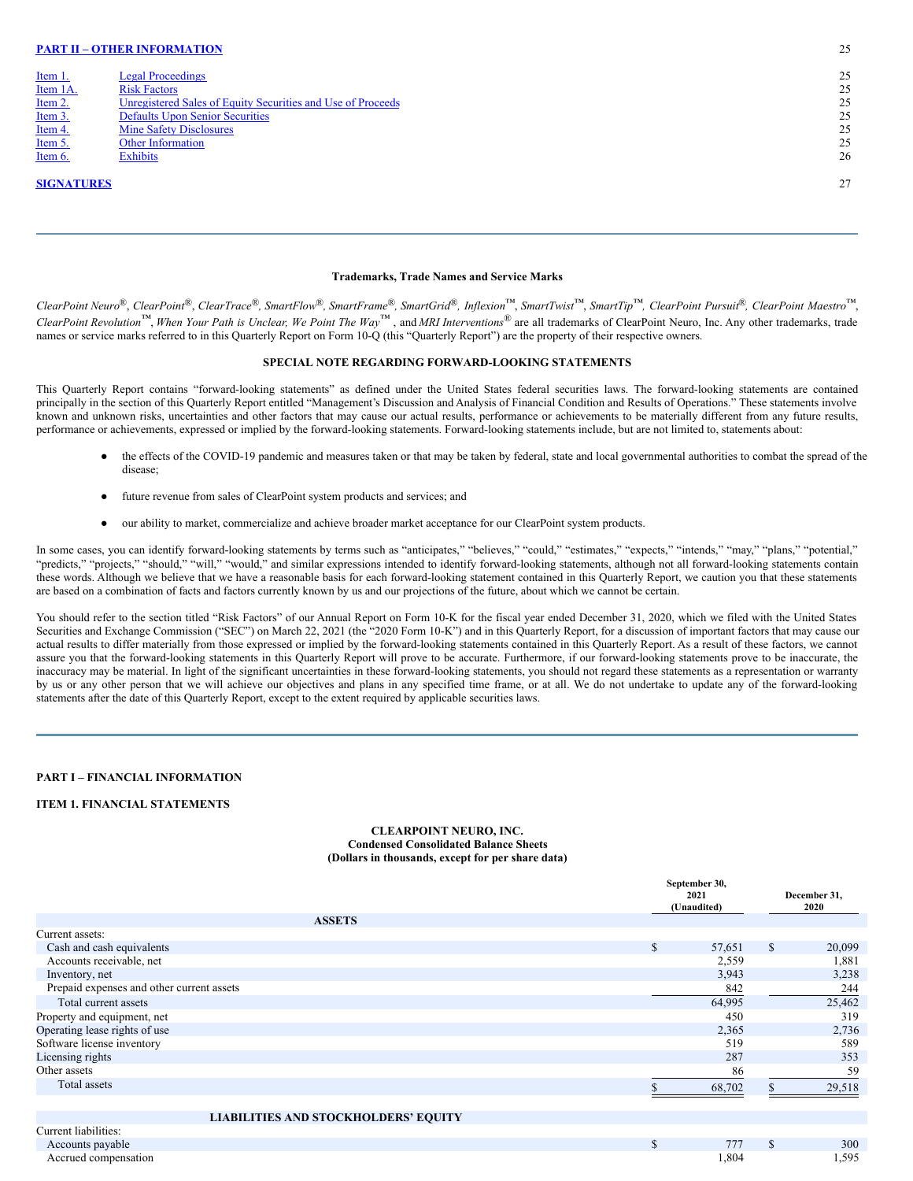## **PART II – OTHER [INFORMATION](#page-0-0)** 25

| Item 1.  | <b>Legal Proceedings</b>                                    | 25 |
|----------|-------------------------------------------------------------|----|
| Item 1A. | <b>Risk Factors</b>                                         | 25 |
| Item 2.  | Unregistered Sales of Equity Securities and Use of Proceeds | 25 |
| Item 3.  | <b>Defaults Upon Senior Securities</b>                      | 25 |
| Item 4.  | <b>Mine Safety Disclosures</b>                              | 25 |
| Item 5.  | <b>Other Information</b>                                    | 25 |
| Item 6.  | Exhibits                                                    | 26 |

# **[SIGNATURES](#page-0-0)** 27

# **Trademarks, Trade Names and Service Marks**

ClearPoint Neuro®, ClearPoint®, ClearTrace®, SmartFlow®, SmartFrame®, SmartGrid®, Inflexion™, SmartTwist™, SmartTup™, ClearPoint Pursuit®, ClearPoint Maestro™, ClearPoint Revolution<sup>™</sup>, When Your Path is Unclear, We Point The Way<sup>™</sup>, and MRI Interventions<sup>®</sup> are all trademarks of ClearPoint Neuro, Inc. Any other trademarks, trade names or service marks referred to in this Quarterly Report on Form 10-Q (this "Quarterly Report") are the property of their respective owners.

### **SPECIAL NOTE REGARDING FORWARD-LOOKING STATEMENTS**

This Quarterly Report contains "forward-looking statements" as defined under the United States federal securities laws. The forward-looking statements are contained principally in the section of this Quarterly Report entitled "Management's Discussion and Analysis of Financial Condition and Results of Operations." These statements involve known and unknown risks, uncertainties and other factors that may cause our actual results, performance or achievements to be materially different from any future results, performance or achievements, expressed or implied by the forward-looking statements. Forward-looking statements include, but are not limited to, statements about:

- the effects of the COVID-19 pandemic and measures taken or that may be taken by federal, state and local governmental authorities to combat the spread of the disease;
- future revenue from sales of ClearPoint system products and services; and
- our ability to market, commercialize and achieve broader market acceptance for our ClearPoint system products.

In some cases, you can identify forward-looking statements by terms such as "anticipates," "believes," "could," "estimates," "expects," "intends," "may," "plans," "potential," "predicts," "projects," "should," "will," "would," and similar expressions intended to identify forward-looking statements, although not all forward-looking statements contain these words. Although we believe that we have a reasonable basis for each forward-looking statement contained in this Quarterly Report, we caution you that these statements are based on a combination of facts and factors currently known by us and our projections of the future, about which we cannot be certain.

You should refer to the section titled "Risk Factors" of our Annual Report on Form 10-K for the fiscal year ended December 31, 2020, which we filed with the United States Securities and Exchange Commission ("SEC") on March 22, 2021 (the "2020 Form 10-K") and in this Quarterly Report, for a discussion of important factors that may cause our actual results to differ materially from those expressed or implied by the forward-looking statements contained in this Quarterly Report. As a result of these factors, we cannot assure you that the forward-looking statements in this Quarterly Report will prove to be accurate. Furthermore, if our forward-looking statements prove to be inaccurate, the inaccuracy may be material. In light of the significant uncertainties in these forward-looking statements, you should not regard these statements as a representation or warranty by us or any other person that we will achieve our objectives and plans in any specified time frame, or at all. We do not undertake to update any of the forward-looking statements after the date of this Quarterly Report, except to the extent required by applicable securities laws.

# **PART I – FINANCIAL INFORMATION**

# **ITEM 1. FINANCIAL STATEMENTS**

# **CLEARPOINT NEURO, INC. Condensed Consolidated Balance Sheets (Dollars in thousands, except for per share data)**

|                                             | September 30,<br>2021<br>(Unaudited) |             | December 31,<br>2020 |
|---------------------------------------------|--------------------------------------|-------------|----------------------|
| <b>ASSETS</b>                               |                                      |             |                      |
| Current assets:                             |                                      |             |                      |
| Cash and cash equivalents                   | \$<br>57,651                         | \$          | 20,099               |
| Accounts receivable, net                    | 2,559                                |             | 1,881                |
| Inventory, net                              | 3,943                                |             | 3,238                |
| Prepaid expenses and other current assets   | 842                                  |             | 244                  |
| Total current assets                        | 64,995                               |             | 25,462               |
| Property and equipment, net                 | 450                                  |             | 319                  |
| Operating lease rights of use               | 2,365                                |             | 2,736                |
| Software license inventory                  | 519                                  |             | 589                  |
| Licensing rights                            | 287                                  |             | 353                  |
| Other assets                                | 86                                   |             | 59                   |
| Total assets                                | 68,702                               |             | 29,518               |
|                                             |                                      |             |                      |
| <b>LIABILITIES AND STOCKHOLDERS' EQUITY</b> |                                      |             |                      |
| Current liabilities:                        |                                      |             |                      |
| Accounts payable                            | \$.<br>777                           | $\mathbf S$ | 300                  |
| Accrued compensation                        | 1,804                                |             | 1,595                |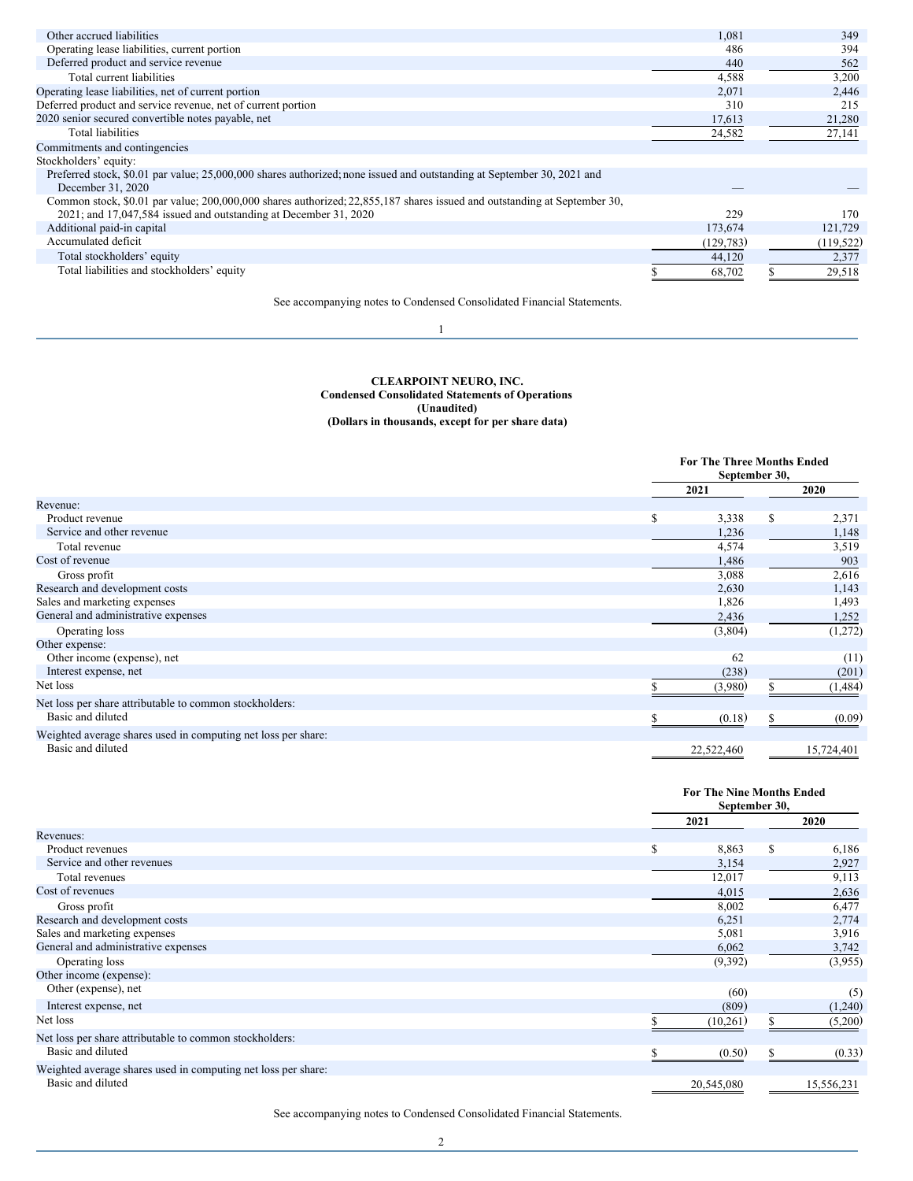| Other accrued liabilities                                                                                                | 1,081      | 349        |
|--------------------------------------------------------------------------------------------------------------------------|------------|------------|
| Operating lease liabilities, current portion                                                                             | 486        | 394        |
| Deferred product and service revenue                                                                                     | 440        | 562        |
| Total current liabilities                                                                                                | 4,588      | 3,200      |
| Operating lease liabilities, net of current portion                                                                      | 2,071      | 2,446      |
| Deferred product and service revenue, net of current portion                                                             | 310        | 215        |
| 2020 senior secured convertible notes payable, net                                                                       | 17,613     | 21,280     |
| <b>Total liabilities</b>                                                                                                 | 24,582     | 27,141     |
| Commitments and contingencies                                                                                            |            |            |
| Stockholders' equity:                                                                                                    |            |            |
| Preferred stock, \$0.01 par value; 25,000,000 shares authorized; none issued and outstanding at September 30, 2021 and   |            |            |
| December 31, 2020                                                                                                        |            |            |
| Common stock, \$0.01 par value; 200,000,000 shares authorized; 22,855,187 shares issued and outstanding at September 30, |            |            |
| 2021; and 17,047,584 issued and outstanding at December 31, 2020                                                         | 229        | 170        |
| Additional paid-in capital                                                                                               | 173,674    | 121,729    |
| Accumulated deficit                                                                                                      | (129, 783) | (119, 522) |
| Total stockholders' equity                                                                                               | 44,120     | 2,377      |
| Total liabilities and stockholders' equity                                                                               | 68,702     | 29,518     |
|                                                                                                                          |            |            |

See accompanying notes to Condensed Consolidated Financial Statements.

# 1

### **CLEARPOINT NEURO, INC. Condensed Consolidated Statements of Operations (Unaudited) (Dollars in thousands, except for per share data)**

|                                                               |            | <b>For The Three Months Ended</b><br>September 30, |
|---------------------------------------------------------------|------------|----------------------------------------------------|
|                                                               | 2021       | 2020                                               |
| Revenue:                                                      |            |                                                    |
| Product revenue                                               | S          | \$<br>2,371<br>3,338                               |
| Service and other revenue                                     |            | 1,236<br>1,148                                     |
| Total revenue                                                 |            | 3,519<br>4,574                                     |
| Cost of revenue                                               |            | 1,486<br>903                                       |
| Gross profit                                                  |            | 3,088<br>2,616                                     |
| Research and development costs                                |            | 1,143<br>2,630                                     |
| Sales and marketing expenses                                  |            | 1,493<br>1,826                                     |
| General and administrative expenses                           |            | 2,436<br>1,252                                     |
| Operating loss                                                |            | (3,804)<br>(1,272)                                 |
| Other expense:                                                |            |                                                    |
| Other income (expense), net                                   |            | 62<br>(11)                                         |
| Interest expense, net                                         |            | (238)<br>(201)                                     |
| Net loss                                                      |            | (3,980)<br>(1, 484)                                |
| Net loss per share attributable to common stockholders:       |            |                                                    |
| Basic and diluted                                             |            | (0.09)<br>(0.18)                                   |
| Weighted average shares used in computing net loss per share: |            |                                                    |
| Basic and diluted                                             | 22,522,460 | 15,724,401                                         |

|                                                               |             | <b>For The Nine Months Ended</b><br>September 30, |
|---------------------------------------------------------------|-------------|---------------------------------------------------|
|                                                               | 2021        | 2020                                              |
| Revenues:                                                     |             |                                                   |
| Product revenues                                              | \$<br>8,863 | S<br>6,186                                        |
| Service and other revenues                                    | 3,154       | 2,927                                             |
| Total revenues                                                | 12,017      | 9,113                                             |
| Cost of revenues                                              | 4,015       | 2,636                                             |
| Gross profit                                                  | 8,002       | 6,477                                             |
| Research and development costs                                | 6,251       | 2,774                                             |
| Sales and marketing expenses                                  | 5,081       | 3,916                                             |
| General and administrative expenses                           | 6,062       | 3,742                                             |
| Operating loss                                                | (9,392)     | (3,955)                                           |
| Other income (expense):                                       |             |                                                   |
| Other (expense), net                                          | (60)        | (5)                                               |
| Interest expense, net                                         | (809)       | (1,240)                                           |
| Net loss                                                      | (10,261)    | (5,200)                                           |
| Net loss per share attributable to common stockholders:       |             |                                                   |
| Basic and diluted                                             | (0.50)      | (0.33)<br>Х                                       |
| Weighted average shares used in computing net loss per share: |             |                                                   |
| Basic and diluted                                             | 20,545,080  | 15,556,231                                        |

See accompanying notes to Condensed Consolidated Financial Statements.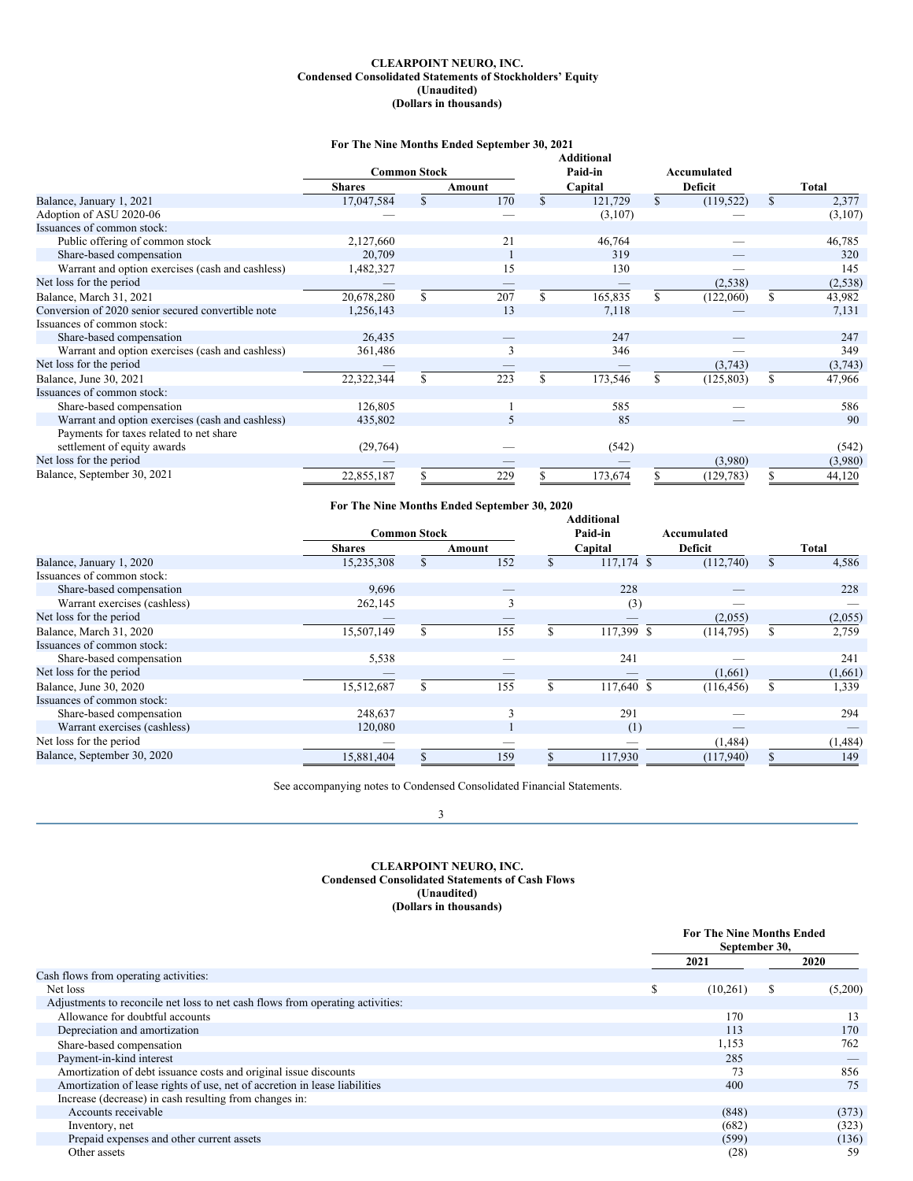### **CLEARPOINT NEURO, INC. Condensed Consolidated Statements of Stockholders' Equity (Unaudited) (Dollars in thousands)**

### **For The Nine Months Ended September 30, 2021**

|                                                    |                     |              |        |     | <b>Additional</b> |              |             |    |          |
|----------------------------------------------------|---------------------|--------------|--------|-----|-------------------|--------------|-------------|----|----------|
|                                                    | <b>Common Stock</b> |              |        |     | Paid-in           |              | Accumulated |    |          |
|                                                    | <b>Shares</b>       |              | Amount |     | Capital           |              | Deficit     |    | Total    |
| Balance, January 1, 2021                           | 17,047,584          | $\mathbf{s}$ | 170    | \$. | 121,729           | $\mathbb{S}$ | (119, 522)  | \$ | 2,377    |
| Adoption of ASU 2020-06                            |                     |              |        |     | (3,107)           |              |             |    | (3,107)  |
| Issuances of common stock:                         |                     |              |        |     |                   |              |             |    |          |
| Public offering of common stock                    | 2,127,660           |              | 21     |     | 46,764            |              |             |    | 46,785   |
| Share-based compensation                           | 20,709              |              |        |     | 319               |              |             |    | 320      |
| Warrant and option exercises (cash and cashless)   | 1,482,327           |              | 15     |     | 130               |              |             |    | 145      |
| Net loss for the period                            |                     |              |        |     |                   |              | (2,538)     |    | (2, 538) |
| Balance, March 31, 2021                            | 20,678,280          | S.           | 207    | S   | 165,835           | \$           | (122,060)   | S. | 43,982   |
| Conversion of 2020 senior secured convertible note | 1,256,143           |              | 13     |     | 7,118             |              |             |    | 7,131    |
| Issuances of common stock:                         |                     |              |        |     |                   |              |             |    |          |
| Share-based compensation                           | 26,435              |              |        |     | 247               |              |             |    | 247      |
| Warrant and option exercises (cash and cashless)   | 361,486             |              | 3      |     | 346               |              |             |    | 349      |
| Net loss for the period                            |                     |              |        |     |                   |              | (3,743)     |    | (3,743)  |
| Balance, June 30, 2021                             | 22,322,344          | \$           | 223    | \$  | 173,546           | \$           | (125, 803)  | S  | 47,966   |
| Issuances of common stock:                         |                     |              |        |     |                   |              |             |    |          |
| Share-based compensation                           | 126,805             |              |        |     | 585               |              |             |    | 586      |
| Warrant and option exercises (cash and cashless)   | 435,802             |              | $\sim$ |     | 85                |              |             |    | 90       |
| Payments for taxes related to net share            |                     |              |        |     |                   |              |             |    |          |
| settlement of equity awards                        | (29,764)            |              |        |     | (542)             |              |             |    | (542)    |
| Net loss for the period                            |                     |              |        |     |                   |              | (3,980)     |    | (3,980)  |
| Balance, September 30, 2021                        | 22,855,187          |              | 229    |     | 173,674           |              | (129, 783)  |    | 44,120   |

# **For The Nine Months Ended September 30, 2020**

|                              |                     |              | <b>Additional</b> |             |   |          |
|------------------------------|---------------------|--------------|-------------------|-------------|---|----------|
|                              | <b>Common Stock</b> |              | Paid-in           | Accumulated |   |          |
|                              | <b>Shares</b>       | Amount       | Capital           | Deficit     |   | Total    |
| Balance, January 1, 2020     | 15,235,308          | 152          | 117,174 \$        | (112,740)   | S | 4,586    |
| Issuances of common stock:   |                     |              |                   |             |   |          |
| Share-based compensation     | 9,696               |              | 228               |             |   | 228      |
| Warrant exercises (cashless) | 262,145             |              | (3)               |             |   |          |
| Net loss for the period      |                     |              |                   | (2,055)     |   | (2,055)  |
| Balance, March 31, 2020      | 15,507,149          | 155          | 117,399 \$        | (114,795)   | S | 2,759    |
| Issuances of common stock:   |                     |              |                   |             |   |          |
| Share-based compensation     | 5,538               |              | 241               |             |   | 241      |
| Net loss for the period      |                     |              |                   | (1,661)     |   | (1,661)  |
| Balance, June 30, 2020       | 15,512,687          | 155          | 117,640 \$        | (116, 456)  |   | 1,339    |
| Issuances of common stock:   |                     |              |                   |             |   |          |
| Share-based compensation     | 248,637             | $\mathbf{a}$ | 291               |             |   | 294      |
| Warrant exercises (cashless) | 120,080             |              | (1)               |             |   |          |
| Net loss for the period      |                     |              |                   | (1,484)     |   | (1, 484) |
| Balance, September 30, 2020  | 15,881,404          | 159          | 117,930           | (117,940)   |   | 149      |

See accompanying notes to Condensed Consolidated Financial Statements.

#### 3

# **CLEARPOINT NEURO, INC. Condensed Consolidated Statements of Cash Flows (Unaudited) (Dollars in thousands)**

|                                                                                | <b>For The Nine Months Ended</b><br>September 30, |    |         |
|--------------------------------------------------------------------------------|---------------------------------------------------|----|---------|
|                                                                                | 2021                                              |    | 2020    |
| Cash flows from operating activities:                                          |                                                   |    |         |
| Net loss                                                                       | \$<br>(10,261)                                    | \$ | (5,200) |
| Adjustments to reconcile net loss to net cash flows from operating activities: |                                                   |    |         |
| Allowance for doubtful accounts                                                | 170                                               |    | 13      |
| Depreciation and amortization                                                  | 113                                               |    | 170     |
| Share-based compensation                                                       | 1,153                                             |    | 762     |
| Payment-in-kind interest                                                       | 285                                               |    |         |
| Amortization of debt issuance costs and original issue discounts               | 73                                                |    | 856     |
| Amortization of lease rights of use, net of accretion in lease liabilities     | 400                                               |    | 75      |
| Increase (decrease) in cash resulting from changes in:                         |                                                   |    |         |
| Accounts receivable                                                            | (848)                                             |    | (373)   |
| Inventory, net                                                                 | (682)                                             |    | (323)   |
| Prepaid expenses and other current assets                                      | (599)                                             |    | (136)   |
| Other assets                                                                   | (28)                                              |    | 59      |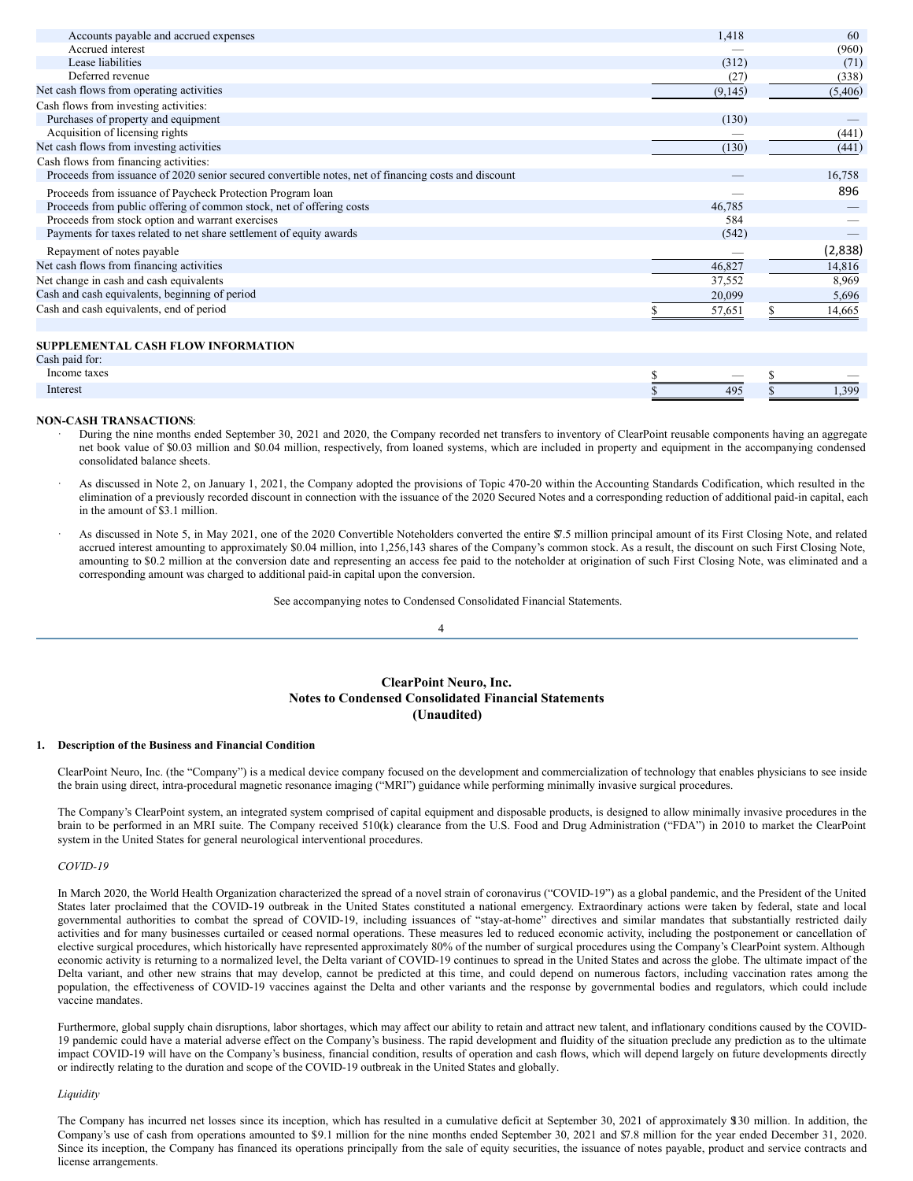| Accounts payable and accrued expenses                                                                | 1,418    | 60       |
|------------------------------------------------------------------------------------------------------|----------|----------|
| Accrued interest                                                                                     |          | (960)    |
| Lease liabilities                                                                                    | (312)    | (71)     |
| Deferred revenue                                                                                     | (27)     | (338)    |
| Net cash flows from operating activities                                                             | (9, 145) | (5, 406) |
| Cash flows from investing activities:                                                                |          |          |
| Purchases of property and equipment                                                                  | (130)    |          |
| Acquisition of licensing rights                                                                      |          | (441)    |
| Net cash flows from investing activities                                                             | (130)    | (441)    |
| Cash flows from financing activities:                                                                |          |          |
| Proceeds from issuance of 2020 senior secured convertible notes, net of financing costs and discount |          | 16,758   |
| Proceeds from issuance of Paycheck Protection Program Ioan                                           |          | 896      |
| Proceeds from public offering of common stock, net of offering costs                                 | 46,785   |          |
| Proceeds from stock option and warrant exercises                                                     | 584      |          |
| Payments for taxes related to net share settlement of equity awards                                  | (542)    |          |
| Repayment of notes payable                                                                           |          | (2,838)  |
| Net cash flows from financing activities                                                             | 46,827   | 14,816   |
| Net change in cash and cash equivalents                                                              | 37,552   | 8,969    |
| Cash and cash equivalents, beginning of period                                                       | 20,099   | 5,696    |
| Cash and cash equivalents, end of period                                                             | 57,651   | 14,665   |
|                                                                                                      |          |          |
| SUPPLEMENTAL CASH FLOW INFORMATION                                                                   |          |          |
| Cash paid for:                                                                                       |          |          |
| Income taxes                                                                                         | \$       | S        |

# **NON-CASH TRANSACTIONS**:

· During the nine months ended September 30, 2021 and 2020, the Company recorded net transfers to inventory of ClearPoint reusable components having an aggregate net book value of \$0.03 million and \$0.04 million, respectively, from loaned systems, which are included in property and equipment in the accompanying condensed consolidated balance sheets.

Interest  $\frac{1}{3}$   $\frac{495}{3}$   $\frac{8}{3}$  1,399

- As discussed in Note 2, on January 1, 2021, the Company adopted the provisions of Topic 470-20 within the Accounting Standards Codification, which resulted in the elimination of a previously recorded discount in connection with the issuance of the 2020 Secured Notes and a corresponding reduction of additional paid-in capital, each in the amount of \$3.1 million.
- As discussed in Note 5, in May 2021, one of the 2020 Convertible Noteholders converted the entire \$7.5 million principal amount of its First Closing Note, and related accrued interest amounting to approximately \$0.04 million, into 1,256,143 shares of the Company's common stock. As a result, the discount on such First Closing Note, amounting to \$0.2 million at the conversion date and representing an access fee paid to the noteholder at origination of such First Closing Note, was eliminated and a corresponding amount was charged to additional paid-in capital upon the conversion.

See accompanying notes to Condensed Consolidated Financial Statements.

 $\overline{\Delta}$ 

# **ClearPoint Neuro, Inc. Notes to Condensed Consolidated Financial Statements (Unaudited)**

## **1. Description of the Business and Financial Condition**

ClearPoint Neuro, Inc. (the "Company") is a medical device company focused on the development and commercialization of technology that enables physicians to see inside the brain using direct, intra-procedural magnetic resonance imaging ("MRI") guidance while performing minimally invasive surgical procedures.

The Company's ClearPoint system, an integrated system comprised of capital equipment and disposable products, is designed to allow minimally invasive procedures in the brain to be performed in an MRI suite. The Company received 510(k) clearance from the U.S. Food and Drug Administration ("FDA") in 2010 to market the ClearPoint system in the United States for general neurological interventional procedures.

#### *COVID-19*

In March 2020, the World Health Organization characterized the spread of a novel strain of coronavirus ("COVID-19") as a global pandemic, and the President of the United States later proclaimed that the COVID-19 outbreak in the United States constituted a national emergency. Extraordinary actions were taken by federal, state and local governmental authorities to combat the spread of COVID-19, including issuances of "stay-at-home" directives and similar mandates that substantially restricted daily activities and for many businesses curtailed or ceased normal operations. These measures led to reduced economic activity, including the postponement or cancellation of elective surgical procedures, which historically have represented approximately 80% of the number of surgical procedures using the Company's ClearPoint system. Although economic activity is returning to a normalized level, the Delta variant of COVID-19 continues to spread in the United States and across the globe. The ultimate impact of the Delta variant, and other new strains that may develop, cannot be predicted at this time, and could depend on numerous factors, including vaccination rates among the population, the effectiveness of COVID-19 vaccines against the Delta and other variants and the response by governmental bodies and regulators, which could include vaccine mandates.

Furthermore, global supply chain disruptions, labor shortages, which may affect our ability to retain and attract new talent, and inflationary conditions caused by the COVID-19 pandemic could have a material adverse effect on the Company's business. The rapid development and fluidity of the situation preclude any prediction as to the ultimate impact COVID-19 will have on the Company's business, financial condition, results of operation and cash flows, which will depend largely on future developments directly or indirectly relating to the duration and scope of the COVID-19 outbreak in the United States and globally.

#### *Liquidity*

The Company has incurred net losses since its inception, which has resulted in a cumulative deficit at September 30, 2021 of approximately \$130 million. In addition, the Company's use of cash from operations amounted to \$9.1 million for the nine months ended September 30, 2021 and \$7.8 million for the year ended December 31, 2020. Since its inception, the Company has financed its operations principally from the sale of equity securities, the issuance of notes payable, product and service contracts and license arrangements.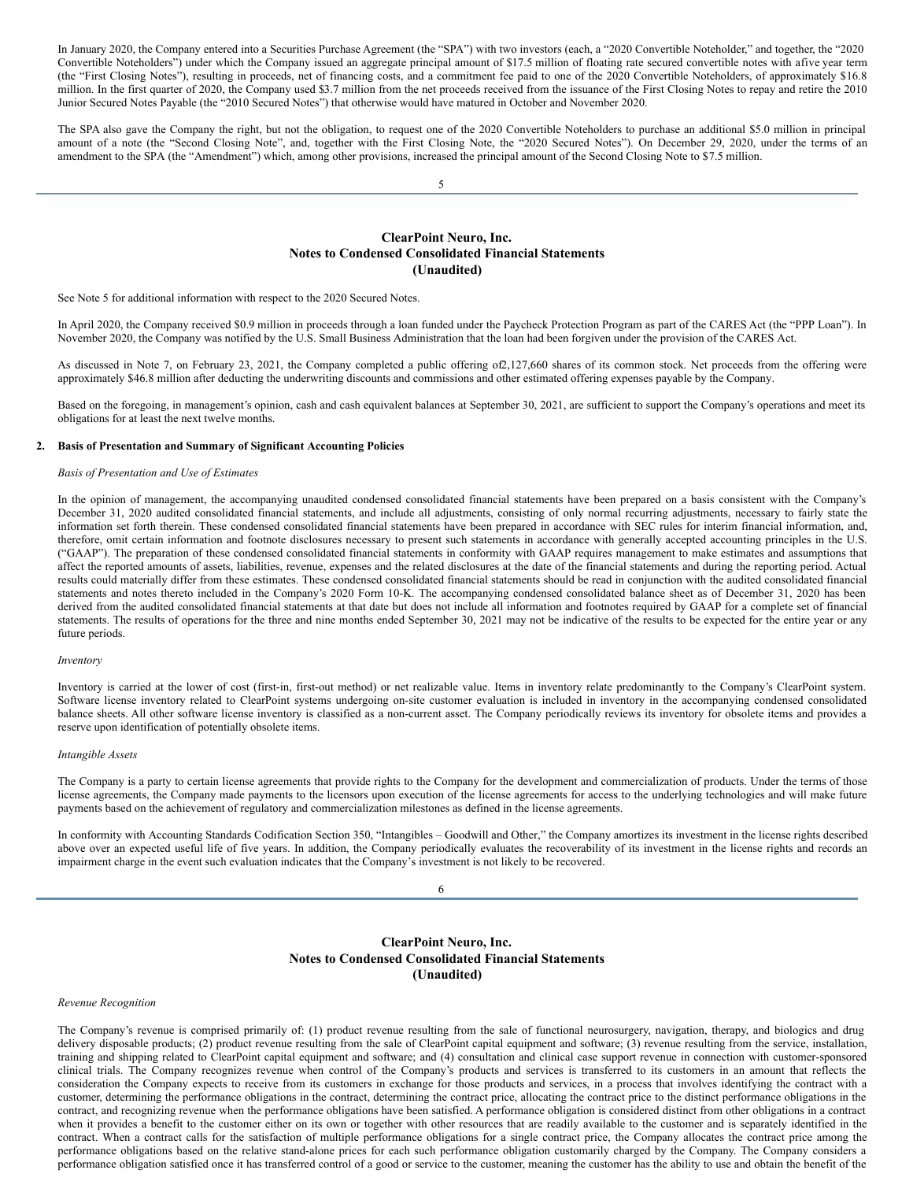In January 2020, the Company entered into a Securities Purchase Agreement (the "SPA") with two investors (each, a "2020 Convertible Noteholder," and together, the "2020 Convertible Noteholders") under which the Company issued an aggregate principal amount of \$17.5 million of floating rate secured convertible notes with afive year term (the "First Closing Notes"), resulting in proceeds, net of financing costs, and a commitment fee paid to one of the 2020 Convertible Noteholders, of approximately \$16.8 million. In the first quarter of 2020, the Company used \$3.7 million from the net proceeds received from the issuance of the First Closing Notes to repay and retire the 2010 Junior Secured Notes Payable (the "2010 Secured Notes") that otherwise would have matured in October and November 2020.

The SPA also gave the Company the right, but not the obligation, to request one of the 2020 Convertible Noteholders to purchase an additional \$5.0 million in principal amount of a note (the "Second Closing Note", and, together with the First Closing Note, the "2020 Secured Notes"). On December 29, 2020, under the terms of an amendment to the SPA (the "Amendment") which, among other provisions, increased the principal amount of the Second Closing Note to \$7.5 million.

#### 5

# **ClearPoint Neuro, Inc. Notes to Condensed Consolidated Financial Statements (Unaudited)**

See Note 5 for additional information with respect to the 2020 Secured Notes.

In April 2020, the Company received \$0.9 million in proceeds through a loan funded under the Paycheck Protection Program as part of the CARES Act (the "PPP Loan"). In November 2020, the Company was notified by the U.S. Small Business Administration that the loan had been forgiven under the provision of the CARES Act.

As discussed in Note 7, on February 23, 2021, the Company completed a public offering of 2,127,660 shares of its common stock. Net proceeds from the offering were approximately \$46.8 million after deducting the underwriting discounts and commissions and other estimated offering expenses payable by the Company.

Based on the foregoing, in management's opinion, cash and cash equivalent balances at September 30, 2021, are sufficient to support the Company's operations and meet its obligations for at least the next twelve months.

### **2. Basis of Presentation and Summary of Significant Accounting Policies**

### *Basis of Presentation and Use of Estimates*

In the opinion of management, the accompanying unaudited condensed consolidated financial statements have been prepared on a basis consistent with the Company's December 31, 2020 audited consolidated financial statements, and include all adjustments, consisting of only normal recurring adjustments, necessary to fairly state the information set forth therein. These condensed consolidated financial statements have been prepared in accordance with SEC rules for interim financial information, and, therefore, omit certain information and footnote disclosures necessary to present such statements in accordance with generally accepted accounting principles in the U.S. ("GAAP"). The preparation of these condensed consolidated financial statements in conformity with GAAP requires management to make estimates and assumptions that affect the reported amounts of assets, liabilities, revenue, expenses and the related disclosures at the date of the financial statements and during the reporting period. Actual results could materially differ from these estimates. These condensed consolidated financial statements should be read in conjunction with the audited consolidated financial statements and notes thereto included in the Company's 2020 Form 10-K. The accompanying condensed consolidated balance sheet as of December 31, 2020 has been derived from the audited consolidated financial statements at that date but does not include all information and footnotes required by GAAP for a complete set of financial statements. The results of operations for the three and nine months ended September 30, 2021 may not be indicative of the results to be expected for the entire year or any future periods.

### *Inventory*

Inventory is carried at the lower of cost (first-in, first-out method) or net realizable value. Items in inventory relate predominantly to the Company's ClearPoint system. Software license inventory related to ClearPoint systems undergoing on-site customer evaluation is included in inventory in the accompanying condensed consolidated balance sheets. All other software license inventory is classified as a non-current asset. The Company periodically reviews its inventory for obsolete items and provides a reserve upon identification of potentially obsolete items.

### *Intangible Assets*

The Company is a party to certain license agreements that provide rights to the Company for the development and commercialization of products. Under the terms of those license agreements, the Company made payments to the licensors upon execution of the license agreements for access to the underlying technologies and will make future payments based on the achievement of regulatory and commercialization milestones as defined in the license agreements.

In conformity with Accounting Standards Codification Section 350, "Intangibles – Goodwill and Other," the Company amortizes its investment in the license rights described above over an expected useful life of five years. In addition, the Company periodically evaluates the recoverability of its investment in the license rights and records an impairment charge in the event such evaluation indicates that the Company's investment is not likely to be recovered.

# **ClearPoint Neuro, Inc. Notes to Condensed Consolidated Financial Statements (Unaudited)**

6

### *Revenue Recognition*

The Company's revenue is comprised primarily of: (1) product revenue resulting from the sale of functional neurosurgery, navigation, therapy, and biologics and drug delivery disposable products; (2) product revenue resulting from the sale of ClearPoint capital equipment and software; (3) revenue resulting from the service, installation, training and shipping related to ClearPoint capital equipment and software; and (4) consultation and clinical case support revenue in connection with customer-sponsored clinical trials. The Company recognizes revenue when control of the Company's products and services is transferred to its customers in an amount that reflects the consideration the Company expects to receive from its customers in exchange for those products and services, in a process that involves identifying the contract with a customer, determining the performance obligations in the contract, determining the contract price, allocating the contract price to the distinct performance obligations in the contract, and recognizing revenue when the performance obligations have been satisfied. A performance obligation is considered distinct from other obligations in a contract when it provides a benefit to the customer either on its own or together with other resources that are readily available to the customer and is separately identified in the contract. When a contract calls for the satisfaction of multiple performance obligations for a single contract price, the Company allocates the contract price among the performance obligations based on the relative stand-alone prices for each such performance obligation customarily charged by the Company. The Company considers a performance obligation satisfied once it has transferred control of a good or service to the customer, meaning the customer has the ability to use and obtain the benefit of the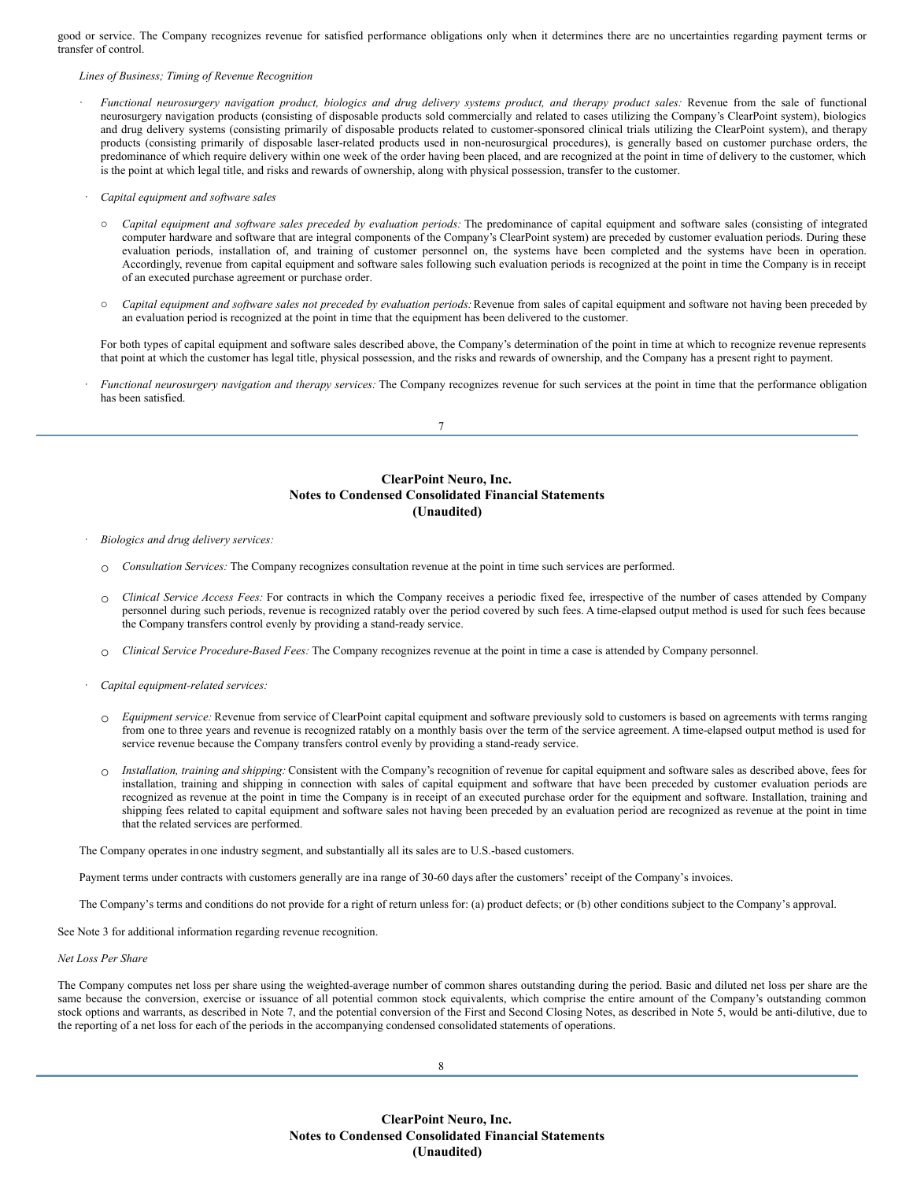good or service. The Company recognizes revenue for satisfied performance obligations only when it determines there are no uncertainties regarding payment terms or transfer of control.

### *Lines of Business; Timing of Revenue Recognition*

- Functional neurosurgery navigation product, biologics and drug delivery systems product, and therapy product sales: Revenue from the sale of functional neurosurgery navigation products (consisting of disposable products sold commercially and related to cases utilizing the Company's ClearPoint system), biologics and drug delivery systems (consisting primarily of disposable products related to customer-sponsored clinical trials utilizing the ClearPoint system), and therapy products (consisting primarily of disposable laser-related products used in non-neurosurgical procedures), is generally based on customer purchase orders, the predominance of which require delivery within one week of the order having been placed, and are recognized at the point in time of delivery to the customer, which is the point at which legal title, and risks and rewards of ownership, along with physical possession, transfer to the customer.
- · *Capital equipment and software sales*
	- o *Capital equipment and software sales preceded by evaluation periods:* The predominance of capital equipment and software sales (consisting of integrated computer hardware and software that are integral components of the Company's ClearPoint system) are preceded by customer evaluation periods. During these evaluation periods, installation of, and training of customer personnel on, the systems have been completed and the systems have been in operation. Accordingly, revenue from capital equipment and software sales following such evaluation periods is recognized at the point in time the Company is in receipt of an executed purchase agreement or purchase order.
	- o *Capital equipment and software sales not preceded by evaluation periods:*Revenue from sales of capital equipment and software not having been preceded by an evaluation period is recognized at the point in time that the equipment has been delivered to the customer.

For both types of capital equipment and software sales described above, the Company's determination of the point in time at which to recognize revenue represents that point at which the customer has legal title, physical possession, and the risks and rewards of ownership, and the Company has a present right to payment.

· *Functional neurosurgery navigation and therapy services:* The Company recognizes revenue for such services at the point in time that the performance obligation has been satisfied.

7

# **ClearPoint Neuro, Inc. Notes to Condensed Consolidated Financial Statements (Unaudited)**

- · *Biologics and drug delivery services:*
	- o *Consultation Services:* The Company recognizes consultation revenue at the point in time such services are performed.
	- o *Clinical Service Access Fees:* For contracts in which the Company receives a periodic fixed fee, irrespective of the number of cases attended by Company personnel during such periods, revenue is recognized ratably over the period covered by such fees. A time-elapsed output method is used for such fees because the Company transfers control evenly by providing a stand-ready service.
	- o *Clinical Service Procedure-Based Fees:* The Company recognizes revenue at the point in time a case is attended by Company personnel.
- · *Capital equipment-related services:*
	- $O$  *Equipment service:* Revenue from service of ClearPoint capital equipment and software previously sold to customers is based on agreements with terms ranging from one to three years and revenue is recognized ratably on a monthly basis over the term of the service agreement. A time-elapsed output method is used for service revenue because the Company transfers control evenly by providing a stand-ready service.
	- o *Installation, training and shipping:* Consistent with the Company's recognition of revenue for capital equipment and software sales as described above, fees for installation, training and shipping in connection with sales of capital equipment and software that have been preceded by customer evaluation periods are recognized as revenue at the point in time the Company is in receipt of an executed purchase order for the equipment and software. Installation, training and shipping fees related to capital equipment and software sales not having been preceded by an evaluation period are recognized as revenue at the point in time that the related services are performed.

The Company operates in one industry segment, and substantially all its sales are to U.S.-based customers.

Payment terms under contracts with customers generally are ina range of 30-60 days after the customers' receipt of the Company's invoices.

The Company's terms and conditions do not provide for a right of return unless for: (a) product defects; or (b) other conditions subject to the Company's approval.

See Note 3 for additional information regarding revenue recognition.

### *Net Loss Per Share*

The Company computes net loss per share using the weighted-average number of common shares outstanding during the period. Basic and diluted net loss per share are the same because the conversion, exercise or issuance of all potential common stock equivalents, which comprise the entire amount of the Company's outstanding common stock options and warrants, as described in Note 7, and the potential conversion of the First and Second Closing Notes, as described in Note 5, would be anti-dilutive, due to the reporting of a net loss for each of the periods in the accompanying condensed consolidated statements of operations.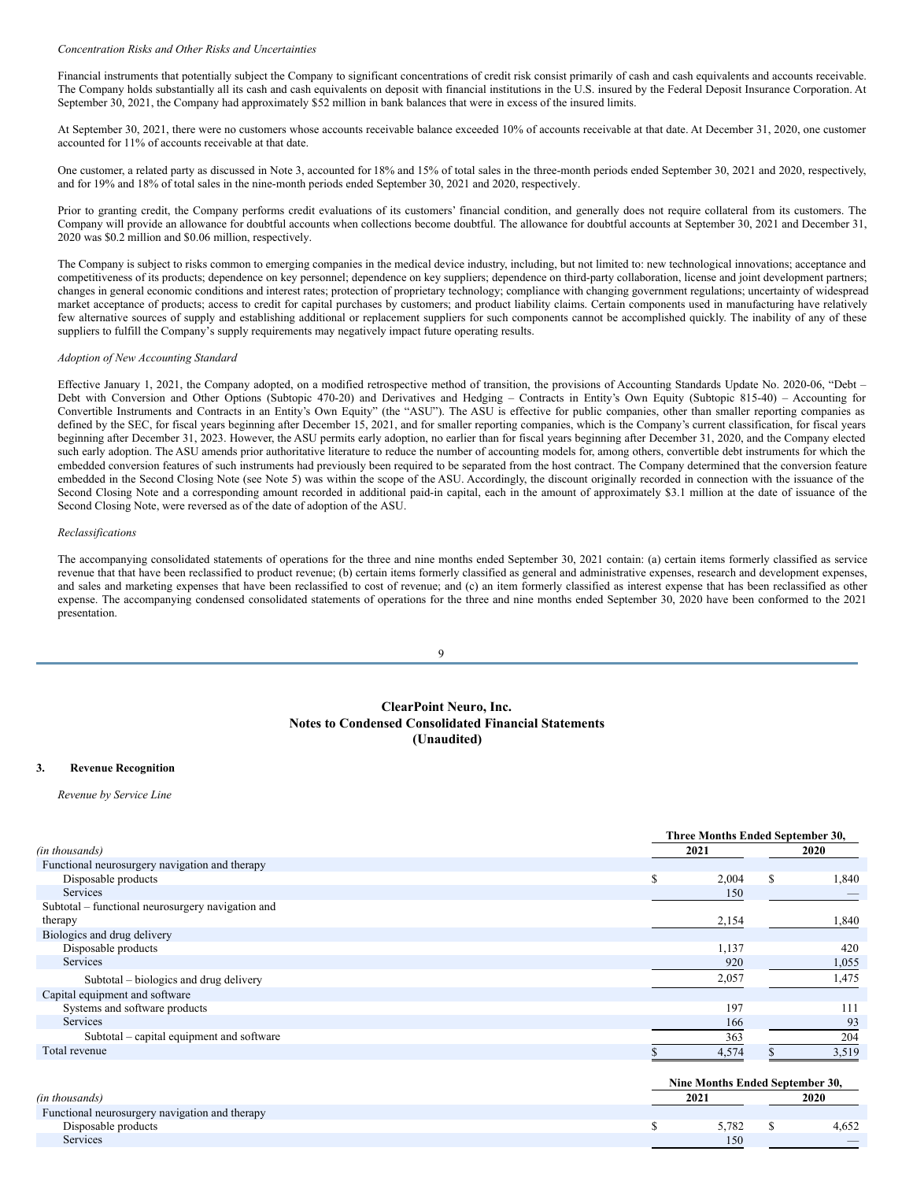### *Concentration Risks and Other Risks and Uncertainties*

Financial instruments that potentially subject the Company to significant concentrations of credit risk consist primarily of cash and cash equivalents and accounts receivable. The Company holds substantially all its cash and cash equivalents on deposit with financial institutions in the U.S. insured by the Federal Deposit Insurance Corporation. At September 30, 2021, the Company had approximately \$52 million in bank balances that were in excess of the insured limits.

At September 30, 2021, there were no customers whose accounts receivable balance exceeded 10% of accounts receivable at that date. At December 31, 2020, one customer accounted for 11% of accounts receivable at that date.

One customer, a related party as discussed in Note 3, accounted for 18% and 15% of total sales in the three-month periods ended September 30, 2021 and 2020, respectively, and for 19% and 18% of total sales in the nine-month periods ended September 30, 2021 and 2020, respectively.

Prior to granting credit, the Company performs credit evaluations of its customers' financial condition, and generally does not require collateral from its customers. The Company will provide an allowance for doubtful accounts when collections become doubtful. The allowance for doubtful accounts at September 30, 2021 and December 31, 2020 was \$0.2 million and \$0.06 million, respectively.

The Company is subject to risks common to emerging companies in the medical device industry, including, but not limited to: new technological innovations; acceptance and competitiveness of its products; dependence on key personnel; dependence on key suppliers; dependence on third-party collaboration, license and joint development partners; changes in general economic conditions and interest rates; protection of proprietary technology; compliance with changing government regulations; uncertainty of widespread market acceptance of products; access to credit for capital purchases by customers; and product liability claims. Certain components used in manufacturing have relatively few alternative sources of supply and establishing additional or replacement suppliers for such components cannot be accomplished quickly. The inability of any of these suppliers to fulfill the Company's supply requirements may negatively impact future operating results.

## *Adoption of New Accounting Standard*

Effective January 1, 2021, the Company adopted, on a modified retrospective method of transition, the provisions of Accounting Standards Update No. 2020-06, "Debt -Debt with Conversion and Other Options (Subtopic 470-20) and Derivatives and Hedging – Contracts in Entity's Own Equity (Subtopic 815-40) – Accounting for Convertible Instruments and Contracts in an Entity's Own Equity" (the "ASU"). The ASU is effective for public companies, other than smaller reporting companies as defined by the SEC, for fiscal years beginning after December 15, 2021, and for smaller reporting companies, which is the Company's current classification, for fiscal years beginning after December 31, 2023. However, the ASU permits early adoption, no earlier than for fiscal years beginning after December 31, 2020, and the Company elected such early adoption. The ASU amends prior authoritative literature to reduce the number of accounting models for, among others, convertible debt instruments for which the embedded conversion features of such instruments had previously been required to be separated from the host contract. The Company determined that the conversion feature embedded in the Second Closing Note (see Note 5) was within the scope of the ASU. Accordingly, the discount originally recorded in connection with the issuance of the Second Closing Note and a corresponding amount recorded in additional paid-in capital, each in the amount of approximately \$3.1 million at the date of issuance of the Second Closing Note, were reversed as of the date of adoption of the ASU.

### *Reclassifications*

The accompanying consolidated statements of operations for the three and nine months ended September 30, 2021 contain: (a) certain items formerly classified as service revenue that that have been reclassified to product revenue; (b) certain items formerly classified as general and administrative expenses, research and development expenses, and sales and marketing expenses that have been reclassified to cost of revenue; and (c) an item formerly classified as interest expense that has been reclassified as other expense. The accompanying condensed consolidated statements of operations for the three and nine months ended September 30, 2020 have been conformed to the 2021 presentation.

### $\overline{9}$

# **ClearPoint Neuro, Inc. Notes to Condensed Consolidated Financial Statements (Unaudited)**

### **3. Revenue Recognition**

*Revenue by Service Line*

|                                                   | Three Months Ended September 30, |                                |   |       |  |
|---------------------------------------------------|----------------------------------|--------------------------------|---|-------|--|
| (in thousands)                                    |                                  | 2021                           |   | 2020  |  |
| Functional neurosurgery navigation and therapy    |                                  |                                |   |       |  |
| Disposable products                               | <sup>\$</sup>                    | 2,004                          | S | 1,840 |  |
| Services                                          |                                  | 150                            |   |       |  |
| Subtotal – functional neurosurgery navigation and |                                  |                                |   |       |  |
| therapy                                           |                                  | 2,154                          |   | 1,840 |  |
| Biologics and drug delivery                       |                                  |                                |   |       |  |
| Disposable products                               |                                  | 1,137                          |   | 420   |  |
| Services                                          |                                  | 920                            |   | 1,055 |  |
| Subtotal – biologics and drug delivery            |                                  | 2,057                          |   | 1,475 |  |
| Capital equipment and software                    |                                  |                                |   |       |  |
| Systems and software products                     |                                  | 197                            |   | 111   |  |
| Services                                          |                                  | 166                            |   | 93    |  |
| Subtotal – capital equipment and software         |                                  | 363                            |   | 204   |  |
| Total revenue                                     |                                  | 4,574                          |   | 3,519 |  |
|                                                   |                                  | Ning Months Ended Contember 20 |   |       |  |

|                                                | Nine Months Ended September 30. |  |        |
|------------------------------------------------|---------------------------------|--|--------|
| (in thousands)                                 | 2021                            |  | 2020   |
| Functional neurosurgery navigation and therapy |                                 |  |        |
| Disposable products                            | 5.782                           |  | 4.652  |
| Services                                       | 150                             |  | $\sim$ |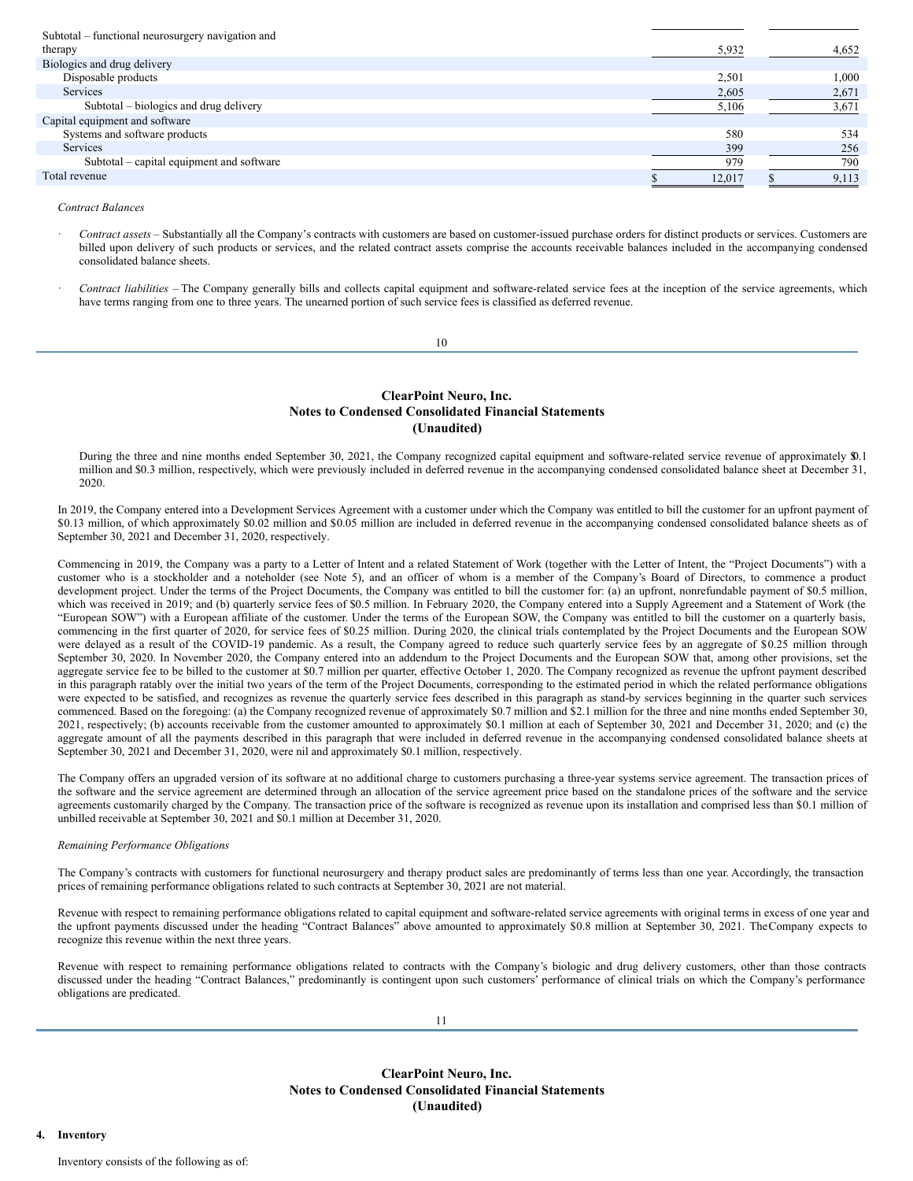| Subtotal – functional neurosurgery navigation and |        |       |
|---------------------------------------------------|--------|-------|
| therapy                                           | 5,932  | 4,652 |
| Biologics and drug delivery                       |        |       |
| Disposable products                               | 2,501  | 1,000 |
| Services                                          | 2,605  | 2,671 |
| Subtotal – biologics and drug delivery            | 5,106  | 3,671 |
| Capital equipment and software                    |        |       |
| Systems and software products                     | 580    | 534   |
| <b>Services</b>                                   | 399    | 256   |
| Subtotal – capital equipment and software         | 979    | 790   |
| Total revenue                                     | 12,017 | 9,113 |

*Contract Balances*

- · *Contract assets* Substantially all the Company's contracts with customers are based on customer-issued purchase orders for distinct products or services. Customers are billed upon delivery of such products or services, and the related contract assets comprise the accounts receivable balances included in the accompanying condensed consolidated balance sheets.
- Contract liabilities The Company generally bills and collects capital equipment and software-related service fees at the inception of the service agreements, which have terms ranging from one to three years. The unearned portion of such service fees is classified as deferred revenue.

| ۰.     |  |
|--------|--|
| I<br>٧ |  |

# **ClearPoint Neuro, Inc. Notes to Condensed Consolidated Financial Statements (Unaudited)**

During the three and nine months ended September 30, 2021, the Company recognized capital equipment and software-related service revenue of approximately \$0.1 million and \$0.3 million, respectively, which were previously included in deferred revenue in the accompanying condensed consolidated balance sheet at December 31, 2020.

In 2019, the Company entered into a Development Services Agreement with a customer under which the Company was entitled to bill the customer for an upfront payment of \$0.13 million, of which approximately \$0.02 million and \$0.05 million are included in deferred revenue in the accompanying condensed consolidated balance sheets as of September 30, 2021 and December 31, 2020, respectively.

Commencing in 2019, the Company was a party to a Letter of Intent and a related Statement of Work (together with the Letter of Intent, the "Project Documents") with a customer who is a stockholder and a noteholder (see Note 5), and an officer of whom is a member of the Company's Board of Directors, to commence a product development project. Under the terms of the Project Documents, the Company was entitled to bill the customer for: (a) an upfront, nonrefundable payment of \$0.5 million, which was received in 2019; and (b) quarterly service fees of \$0.5 million. In February 2020, the Company entered into a Supply Agreement and a Statement of Work (the "European SOW") with a European affiliate of the customer. Under the terms of the European SOW, the Company was entitled to bill the customer on a quarterly basis, commencing in the first quarter of 2020, for service fees of \$0.25 million. During 2020, the clinical trials contemplated by the Project Documents and the European SOW were delayed as a result of the COVID-19 pandemic. As a result, the Company agreed to reduce such quarterly service fees by an aggregate of \$0.25 million through September 30, 2020. In November 2020, the Company entered into an addendum to the Project Documents and the European SOW that, among other provisions, set the aggregate service fee to be billed to the customer at \$0.7 million per quarter, effective October 1, 2020. The Company recognized as revenue the upfront payment described in this paragraph ratably over the initial two years of the term of the Project Documents, corresponding to the estimated period in which the related performance obligations were expected to be satisfied, and recognizes as revenue the quarterly service fees described in this paragraph as stand-by services beginning in the quarter such services commenced. Based on the foregoing: (a) the Company recognized revenue of approximately \$0.7 million and \$2.1 million for the three and nine months ended September 30, 2021, respectively; (b) accounts receivable from the customer amounted to approximately \$0.1 million at each of September 30, 2021 and December 31, 2020; and (c) the aggregate amount of all the payments described in this paragraph that were included in deferred revenue in the accompanying condensed consolidated balance sheets at September 30, 2021 and December 31, 2020, were nil and approximately \$0.1 million, respectively.

The Company offers an upgraded version of its software at no additional charge to customers purchasing a three-year systems service agreement. The transaction prices of the software and the service agreement are determined through an allocation of the service agreement price based on the standalone prices of the software and the service agreements customarily charged by the Company. The transaction price of the software is recognized as revenue upon its installation and comprised less than \$0.1 million of unbilled receivable at September 30, 2021 and \$0.1 million at December 31, 2020.

## *Remaining Performance Obligations*

The Company's contracts with customers for functional neurosurgery and therapy product sales are predominantly of terms less than one year. Accordingly, the transaction prices of remaining performance obligations related to such contracts at September 30, 2021 are not material.

Revenue with respect to remaining performance obligations related to capital equipment and software-related service agreements with original terms in excess of one year and the upfront payments discussed under the heading "Contract Balances" above amounted to approximately \$0.8 million at September 30, 2021. The Company expects to recognize this revenue within the next three years.

Revenue with respect to remaining performance obligations related to contracts with the Company's biologic and drug delivery customers, other than those contracts discussed under the heading "Contract Balances," predominantly is contingent upon such customers' performance of clinical trials on which the Company's performance obligations are predicated.

**ClearPoint Neuro, Inc. Notes to Condensed Consolidated Financial Statements (Unaudited)**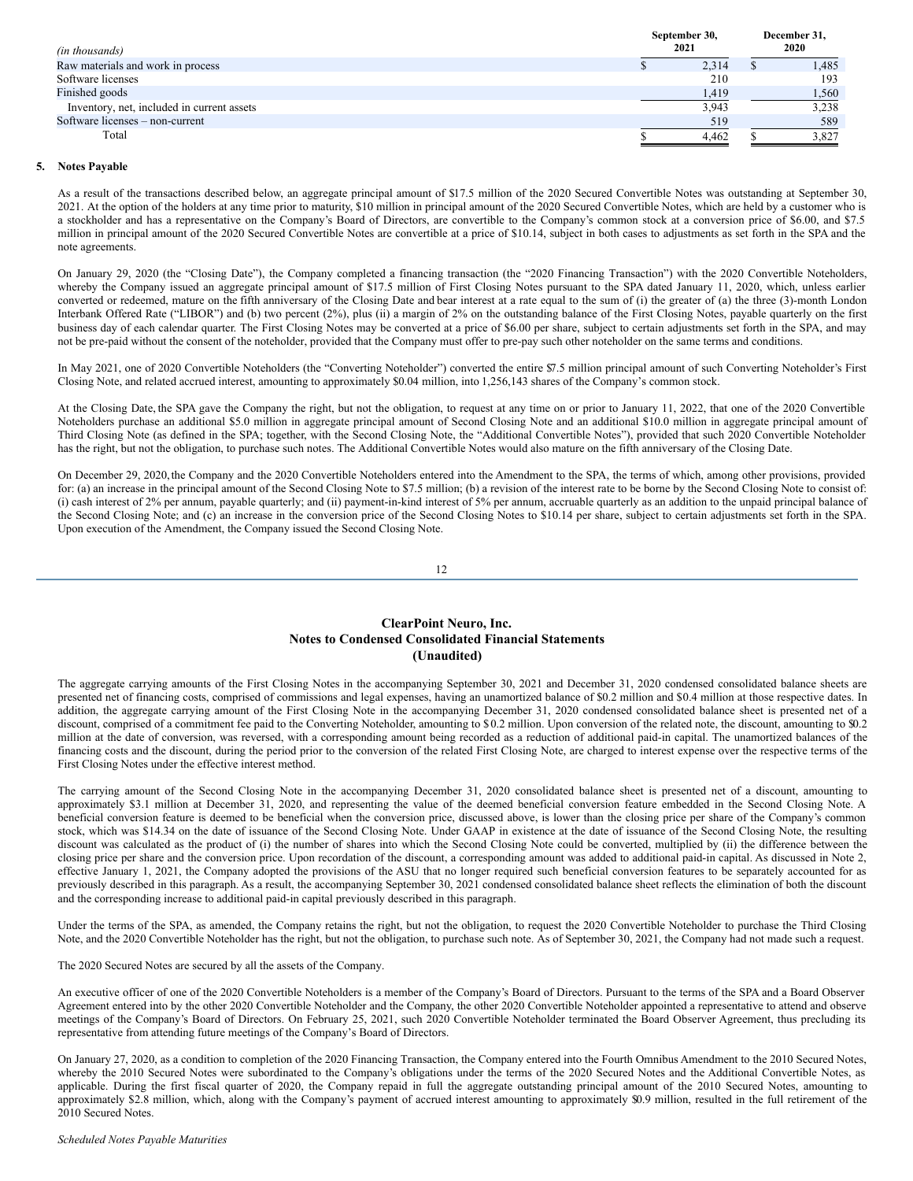| (in thousands)                             | September 30,<br>2021 | December 31,<br>2020 |
|--------------------------------------------|-----------------------|----------------------|
| Raw materials and work in process          | 2,314                 | 1,485                |
| Software licenses                          | 210                   | 193                  |
| Finished goods                             | 1,419                 | 1,560                |
| Inventory, net, included in current assets | 3,943                 | 3,238                |
| Software licenses – non-current            | 519                   | 589                  |
| Total                                      | 4.462                 | 3,827                |

# **5. Notes Payable**

As a result of the transactions described below, an aggregate principal amount of \$17.5 million of the 2020 Secured Convertible Notes was outstanding at September 30, 2021. At the option of the holders at any time prior to maturity, \$10 million in principal amount of the 2020 Secured Convertible Notes, which are held by a customer who is a stockholder and has a representative on the Company's Board of Directors, are convertible to the Company's common stock at a conversion price of \$6.00, and \$7.5 million in principal amount of the 2020 Secured Convertible Notes are convertible at a price of \$10.14, subject in both cases to adjustments as set forth in the SPA and the note agreements.

On January 29, 2020 (the "Closing Date"), the Company completed a financing transaction (the "2020 Financing Transaction") with the 2020 Convertible Noteholders, whereby the Company issued an aggregate principal amount of \$17.5 million of First Closing Notes pursuant to the SPA dated January 11, 2020, which, unless earlier converted or redeemed, mature on the fifth anniversary of the Closing Date and bear interest at a rate equal to the sum of (i) the greater of (a) the three (3)-month London Interbank Offered Rate ("LIBOR") and (b) two percent (2%), plus (ii) a margin of 2% on the outstanding balance of the First Closing Notes, payable quarterly on the first business day of each calendar quarter. The First Closing Notes may be converted at a price of \$6.00 per share, subject to certain adjustments set forth in the SPA, and may not be pre-paid without the consent of the noteholder, provided that the Company must offer to pre-pay such other noteholder on the same terms and conditions.

In May 2021, one of 2020 Convertible Noteholders (the "Converting Noteholder") converted the entire \$7.5 million principal amount of such Converting Noteholder's First Closing Note, and related accrued interest, amounting to approximately \$0.04 million, into 1,256,143 shares of the Company's common stock.

At the Closing Date, the SPA gave the Company the right, but not the obligation, to request at any time on or prior to January 11, 2022, that one of the 2020 Convertible Noteholders purchase an additional \$5.0 million in aggregate principal amount of Second Closing Note and an additional \$10.0 million in aggregate principal amount of Third Closing Note (as defined in the SPA; together, with the Second Closing Note, the "Additional Convertible Notes"), provided that such 2020 Convertible Noteholder has the right, but not the obligation, to purchase such notes. The Additional Convertible Notes would also mature on the fifth anniversary of the Closing Date.

On December 29, 2020, the Company and the 2020 Convertible Noteholders entered into the Amendment to the SPA, the terms of which, among other provisions, provided for: (a) an increase in the principal amount of the Second Closing Note to \$7.5 million; (b) a revision of the interest rate to be borne by the Second Closing Note to consist of: (i) cash interest of 2% per annum, payable quarterly; and (ii) payment-in-kind interest of 5% per annum, accruable quarterly as an addition to the unpaid principal balance of the Second Closing Note; and (c) an increase in the conversion price of the Second Closing Notes to \$10.14 per share, subject to certain adjustments set forth in the SPA. Upon execution of the Amendment, the Company issued the Second Closing Note.

$$
12\quad
$$

# **ClearPoint Neuro, Inc. Notes to Condensed Consolidated Financial Statements (Unaudited)**

The aggregate carrying amounts of the First Closing Notes in the accompanying September 30, 2021 and December 31, 2020 condensed consolidated balance sheets are presented net of financing costs, comprised of commissions and legal expenses, having an unamortized balance of \$0.2 million and \$0.4 million at those respective dates. In addition, the aggregate carrying amount of the First Closing Note in the accompanying December 31, 2020 condensed consolidated balance sheet is presented net of a discount, comprised of a commitment fee paid to the Converting Noteholder, amounting to \$0.2 million. Upon conversion of the related note, the discount, amounting to \$0.2 million at the date of conversion, was reversed, with a corresponding amount being recorded as a reduction of additional paid-in capital. The unamortized balances of the financing costs and the discount, during the period prior to the conversion of the related First Closing Note, are charged to interest expense over the respective terms of the First Closing Notes under the effective interest method.

The carrying amount of the Second Closing Note in the accompanying December 31, 2020 consolidated balance sheet is presented net of a discount, amounting to approximately \$3.1 million at December 31, 2020, and representing the value of the deemed beneficial conversion feature embedded in the Second Closing Note. A beneficial conversion feature is deemed to be beneficial when the conversion price, discussed above, is lower than the closing price per share of the Company's common stock, which was \$14.34 on the date of issuance of the Second Closing Note. Under GAAP in existence at the date of issuance of the Second Closing Note, the resulting discount was calculated as the product of (i) the number of shares into which the Second Closing Note could be converted, multiplied by (ii) the difference between the closing price per share and the conversion price. Upon recordation of the discount, a corresponding amount was added to additional paid-in capital. As discussed in Note 2, effective January 1, 2021, the Company adopted the provisions of the ASU that no longer required such beneficial conversion features to be separately accounted for as previously described in this paragraph. As a result, the accompanying September 30, 2021 condensed consolidated balance sheet reflects the elimination of both the discount and the corresponding increase to additional paid-in capital previously described in this paragraph.

Under the terms of the SPA, as amended, the Company retains the right, but not the obligation, to request the 2020 Convertible Noteholder to purchase the Third Closing Note, and the 2020 Convertible Noteholder has the right, but not the obligation, to purchase such note. As of September 30, 2021, the Company had not made such a request.

The 2020 Secured Notes are secured by all the assets of the Company.

An executive officer of one of the 2020 Convertible Noteholders is a member of the Company's Board of Directors. Pursuant to the terms of the SPA and a Board Observer Agreement entered into by the other 2020 Convertible Noteholder and the Company, the other 2020 Convertible Noteholder appointed a representative to attend and observe meetings of the Company's Board of Directors. On February 25, 2021, such 2020 Convertible Noteholder terminated the Board Observer Agreement, thus precluding its representative from attending future meetings of the Company's Board of Directors.

On January 27, 2020, as a condition to completion of the 2020 Financing Transaction, the Company entered into the Fourth Omnibus Amendment to the 2010 Secured Notes, whereby the 2010 Secured Notes were subordinated to the Company's obligations under the terms of the 2020 Secured Notes and the Additional Convertible Notes, as applicable. During the first fiscal quarter of 2020, the Company repaid in full the aggregate outstanding principal amount of the 2010 Secured Notes, amounting to approximately \$2.8 million, which, along with the Company's payment of accrued interest amounting to approximately \$0.9 million, resulted in the full retirement of the 2010 Secured Notes.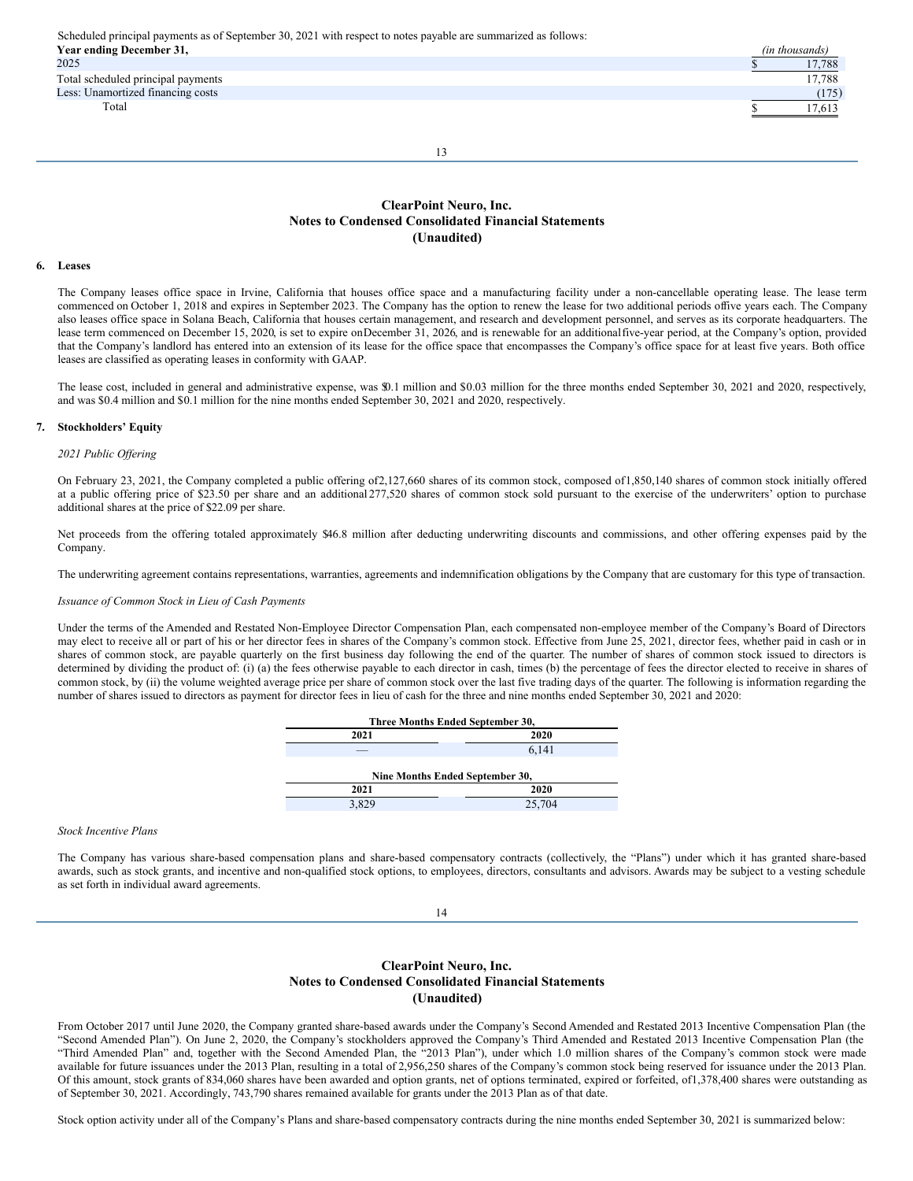Scheduled principal payments as of September 30, 2021 with respect to notes payable are summarized as follows: **Year ending December 31,** *(in thousands)* 2025  $\frac{17}{788}$ 

Total scheduled principal payments 17,788 Less: Unamortized financing costs (175) Total **S** 17,613

13

# **ClearPoint Neuro, Inc. Notes to Condensed Consolidated Financial Statements (Unaudited)**

#### **6. Leases**

The Company leases office space in Irvine, California that houses office space and a manufacturing facility under a non-cancellable operating lease. The lease term commenced on October 1, 2018 and expires in September 2023. The Company has the option to renew the lease for two additional periods offive years each. The Company also leases office space in Solana Beach, California that houses certain management, and research and development personnel, and serves as its corporate headquarters. The lease term commenced on December 15, 2020, is set to expire onDecember 31, 2026, and is renewable for an additionalfive-year period, at the Company's option, provided that the Company's landlord has entered into an extension of its lease for the office space that encompasses the Company's office space for at least five years. Both office leases are classified as operating leases in conformity with GAAP.

The lease cost, included in general and administrative expense, was \$0.1 million and \$0.03 million for the three months ended September 30, 2021 and 2020, respectively, and was \$0.4 million and \$0.1 million for the nine months ended September 30, 2021 and 2020, respectively.

### **7. Stockholders' Equity**

# *2021 Public Of ering*

On February 23, 2021, the Company completed a public offering of2,127,660 shares of its common stock, composed of1,850,140 shares of common stock initially offered at a public offering price of \$23.50 per share and an additional 277,520 shares of common stock sold pursuant to the exercise of the underwriters' option to purchase additional shares at the price of \$22.09 per share.

Net proceeds from the offering totaled approximately \$46.8 million after deducting underwriting discounts and commissions, and other offering expenses paid by the Company.

The underwriting agreement contains representations, warranties, agreements and indemnification obligations by the Company that are customary for this type of transaction.

### *Issuance of Common Stock in Lieu of Cash Payments*

Under the terms of the Amended and Restated Non-Employee Director Compensation Plan, each compensated non-employee member of the Company's Board of Directors may elect to receive all or part of his or her director fees in shares of the Company's common stock. Effective from June 25, 2021, director fees, whether paid in cash or in shares of common stock, are payable quarterly on the first business day following the end of the quarter. The number of shares of common stock issued to directors is determined by dividing the product of: (i) (a) the fees otherwise payable to each director in cash, times (b) the percentage of fees the director elected to receive in shares of common stock, by (ii) the volume weighted average price per share of common stock over the last five trading days of the quarter. The following is information regarding the number of shares issued to directors as payment for director fees in lieu of cash for the three and nine months ended September 30, 2021 and 2020:

| Three Months Ended September 30, |        |  |  |  |
|----------------------------------|--------|--|--|--|
| 2021                             | 2020   |  |  |  |
|                                  | 6.141  |  |  |  |
| Nine Months Ended September 30,  |        |  |  |  |
| 2021                             | 2020   |  |  |  |
| 3.829                            | 25,704 |  |  |  |

#### *Stock Incentive Plans*

The Company has various share-based compensation plans and share-based compensatory contracts (collectively, the "Plans") under which it has granted share-based awards, such as stock grants, and incentive and non-qualified stock options, to employees, directors, consultants and advisors. Awards may be subject to a vesting schedule as set forth in individual award agreements.

14

# **ClearPoint Neuro, Inc. Notes to Condensed Consolidated Financial Statements (Unaudited)**

From October 2017 until June 2020, the Company granted share-based awards under the Company's Second Amended and Restated 2013 Incentive Compensation Plan (the "Second Amended Plan"). On June 2, 2020, the Company's stockholders approved the Company's Third Amended and Restated 2013 Incentive Compensation Plan (the "Third Amended Plan" and, together with the Second Amended Plan, the "2013 Plan"), under which 1.0 million shares of the Company's common stock were made available for future issuances under the 2013 Plan, resulting in a total of 2,956,250 shares of the Company's common stock being reserved for issuance under the 2013 Plan. Of this amount, stock grants of 834,060 shares have been awarded and option grants, net of options terminated, expired or forfeited, of1,378,400 shares were outstanding as of September 30, 2021. Accordingly, 743,790 shares remained available for grants under the 2013 Plan as of that date.

Stock option activity under all of the Company's Plans and share-based compensatory contracts during the nine months ended September 30, 2021 is summarized below: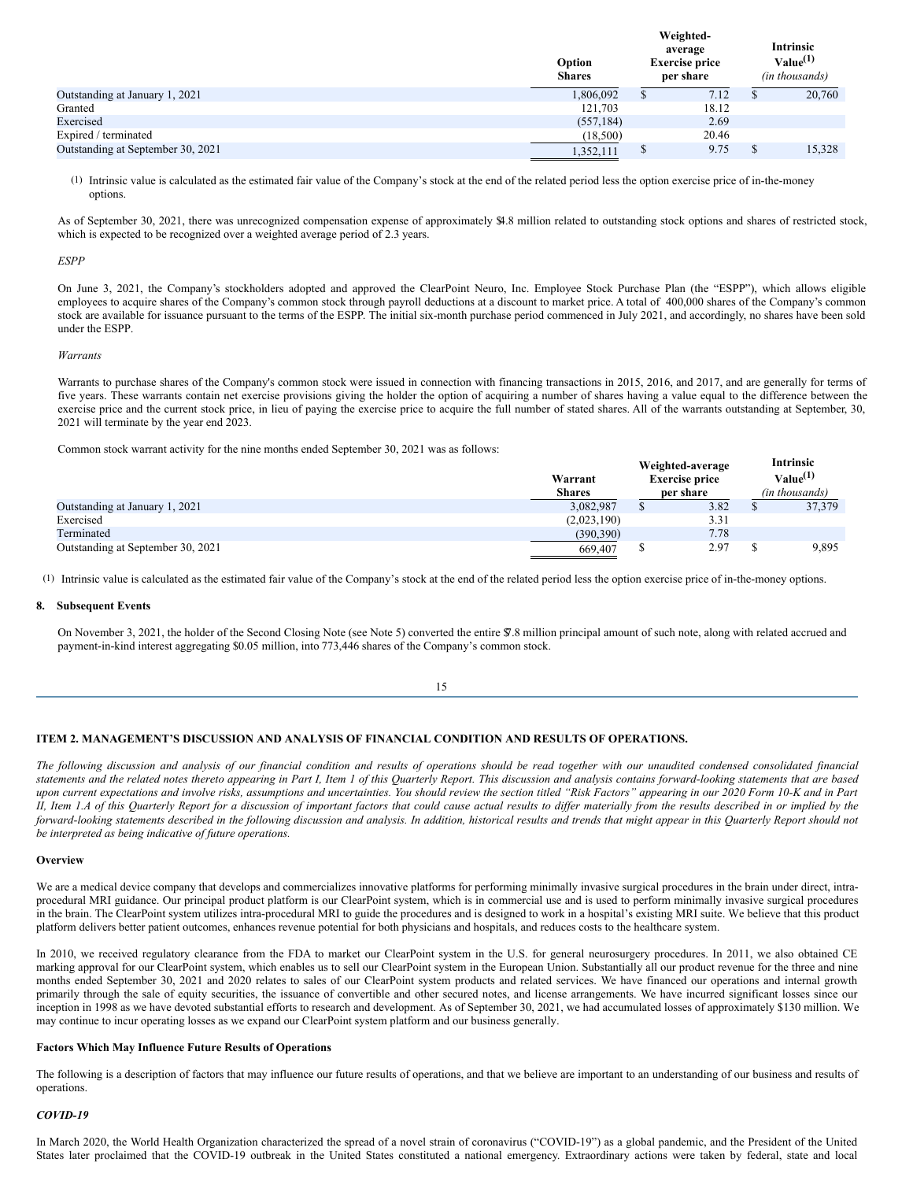|                                   | Option<br><b>Shares</b> | Weighted-<br>average<br><b>Exercise price</b><br>per share |       | Intrinsic<br>$Value^{(1)}$<br>(in thousands) |        |
|-----------------------------------|-------------------------|------------------------------------------------------------|-------|----------------------------------------------|--------|
| Outstanding at January 1, 2021    | 1,806,092               |                                                            | 7.12  |                                              | 20,760 |
| Granted                           | 121,703                 |                                                            | 18.12 |                                              |        |
| Exercised                         | (557, 184)              |                                                            | 2.69  |                                              |        |
| Expired / terminated              | (18,500)                |                                                            | 20.46 |                                              |        |
| Outstanding at September 30, 2021 | 1,352,111               |                                                            | 9.75  | \$.                                          | 15,328 |

(1) Intrinsic value is calculated as the estimated fair value of the Company's stock at the end of the related period less the option exercise price of in-the-money options.

As of September 30, 2021, there was unrecognized compensation expense of approximately \$4.8 million related to outstanding stock options and shares of restricted stock, which is expected to be recognized over a weighted average period of 2.3 years.

*ESPP*

On June 3, 2021, the Company's stockholders adopted and approved the ClearPoint Neuro, Inc. Employee Stock Purchase Plan (the "ESPP"), which allows eligible employees to acquire shares of the Company's common stock through payroll deductions at a discount to market price. A total of 400,000 shares of the Company's common stock are available for issuance pursuant to the terms of the ESPP. The initial six-month purchase period commenced in July 2021, and accordingly, no shares have been sold under the ESPP.

### *Warrants*

Warrants to purchase shares of the Company's common stock were issued in connection with financing transactions in 2015, 2016, and 2017, and are generally for terms of five years. These warrants contain net exercise provisions giving the holder the option of acquiring a number of shares having a value equal to the difference between the exercise price and the current stock price, in lieu of paying the exercise price to acquire the full number of stated shares. All of the warrants outstanding at September, 30, 2021 will terminate by the year end 2023.

Common stock warrant activity for the nine months ended September 30, 2021 was as follows:

|                                   | Warrant<br><b>Shares</b> | Weighted-average<br><b>Exercise price</b><br>per share | Intrinsic<br>$Value^{(1)}$<br>(in thousands) |
|-----------------------------------|--------------------------|--------------------------------------------------------|----------------------------------------------|
| Outstanding at January 1, 2021    | 3,082,987                | 3.82                                                   | 37,379                                       |
| Exercised                         | (2,023,190)              | 3.31                                                   |                                              |
| Terminated                        | (390, 390)               | 7.78                                                   |                                              |
| Outstanding at September 30, 2021 | 669,407                  | 2.97                                                   | 9,895                                        |

(1) Intrinsic value is calculated as the estimated fair value of the Company's stock at the end of the related period less the option exercise price of in-the-money options.

# **8. Subsequent Events**

On November 3, 2021, the holder of the Second Closing Note (see Note 5) converted the entire  $\mathcal{F}.\mathcal{S}$  million principal amount of such note, along with related accrued and payment-in-kind interest aggregating \$0.05 million, into 773,446 shares of the Company's common stock.

# **ITEM 2. MANAGEMENT'S DISCUSSION AND ANALYSIS OF FINANCIAL CONDITION AND RESULTS OF OPERATIONS.**

The following discussion and analysis of our financial condition and results of operations should be read together with our unaudited condensed consolidated financial statements and the related notes thereto appearing in Part I, Item 1 of this Quarterly Report. This discussion and analysis contains forward-looking statements that are based upon current expectations and involve risks, assumptions and uncertainties. You should review the section titled "Risk Factors" appearing in our 2020 Form 10-K and in Part II, Item 1.A of this Quarterly Report for a discussion of important factors that could cause actual results to differ materially from the results described in or implied by the forward-looking statements described in the following discussion and analysis. In addition, historical results and trends that might appear in this Quarterly Report should not *be interpreted as being indicative of future operations.*

# **Overview**

We are a medical device company that develops and commercializes innovative platforms for performing minimally invasive surgical procedures in the brain under direct, intraprocedural MRI guidance. Our principal product platform is our ClearPoint system, which is in commercial use and is used to perform minimally invasive surgical procedures in the brain. The ClearPoint system utilizes intra-procedural MRI to guide the procedures and is designed to work in a hospital's existing MRI suite. We believe that this product platform delivers better patient outcomes, enhances revenue potential for both physicians and hospitals, and reduces costs to the healthcare system.

In 2010, we received regulatory clearance from the FDA to market our ClearPoint system in the U.S. for general neurosurgery procedures. In 2011, we also obtained CE marking approval for our ClearPoint system, which enables us to sell our ClearPoint system in the European Union. Substantially all our product revenue for the three and nine months ended September 30, 2021 and 2020 relates to sales of our ClearPoint system products and related services. We have financed our operations and internal growth primarily through the sale of equity securities, the issuance of convertible and other secured notes, and license arrangements. We have incurred significant losses since our inception in 1998 as we have devoted substantial efforts to research and development. As of September 30, 2021, we had accumulated losses of approximately \$130 million. We may continue to incur operating losses as we expand our ClearPoint system platform and our business generally.

# **Factors Which May Influence Future Results of Operations**

The following is a description of factors that may influence our future results of operations, and that we believe are important to an understanding of our business and results of operations.

## *COVID-19*

In March 2020, the World Health Organization characterized the spread of a novel strain of coronavirus ("COVID-19") as a global pandemic, and the President of the United States later proclaimed that the COVID-19 outbreak in the United States constituted a national emergency. Extraordinary actions were taken by federal, state and local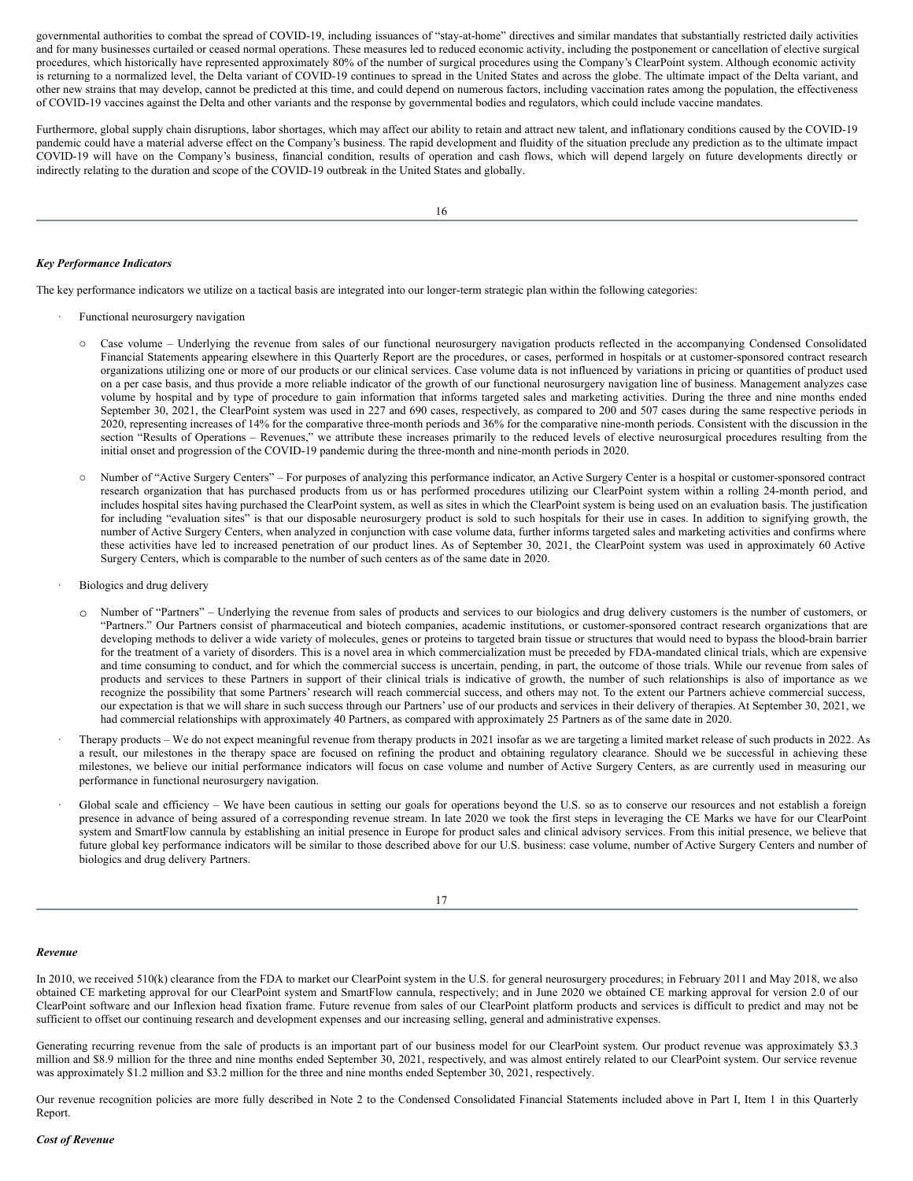governmental authorities to combat the spread of COVID-19, including issuances of "stay-at-home" directives and similar mandates that substantially restricted daily activities and for many businesses curtailed or ceased normal operations. These measures led to reduced economic activity, including the postponement or cancellation of elective surgical procedures, which historically have represented approximately 80% of the number of surgical procedures using the Company's ClearPoint system. Although economic activity is returning to a normalized level, the Delta variant of COVID-19 continues to spread in the United States and across the globe. The ultimate impact of the Delta variant, and other new strains that may develop, cannot be predicted at this time, and could depend on numerous factors, including vaccination rates among the population, the effectiveness of COVID-19 vaccines against the Delta and other variants and the response by governmental bodies and regulators, which could include vaccine mandates.

Furthermore, global supply chain disruptions, labor shortages, which may affect our ability to retain and attract new talent, and inflationary conditions caused by the COVID-19 pandemic could have a material adverse effect on the Company's business. The rapid development and fluidity of the situation preclude any prediction as to the ultimate impact COVID-19 will have on the Company's business, financial condition, results of operation and cash flows, which will depend largely on future developments directly or indirectly relating to the duration and scope of the COVID-19 outbreak in the United States and globally.

### *Key Performance Indicators*

The key performance indicators we utilize on a tactical basis are integrated into our longer-term strategic plan within the following categories:

- Functional neurosurgery navigation
	- o Case volume Underlying the revenue from sales of our functional neurosurgery navigation products reflected in the accompanying Condensed Consolidated Financial Statements appearing elsewhere in this Quarterly Report are the procedures, or cases, performed in hospitals or at customer-sponsored contract research organizations utilizing one or more of our products or our clinical services. Case volume data is not influenced by variations in pricing or quantities of product used on a per case basis, and thus provide a more reliable indicator of the growth of our functional neurosurgery navigation line of business. Management analyzes case volume by hospital and by type of procedure to gain information that informs targeted sales and marketing activities. During the three and nine months ended September 30, 2021, the ClearPoint system was used in 227 and 690 cases, respectively, as compared to 200 and 507 cases during the same respective periods in 2020, representing increases of 14% for the comparative three-month periods and 36% for the comparative nine-month periods. Consistent with the discussion in the section "Results of Operations – Revenues," we attribute these increases primarily to the reduced levels of elective neurosurgical procedures resulting from the initial onset and progression of the COVID-19 pandemic during the three-month and nine-month periods in 2020.
	- o Number of "Active Surgery Centers" For purposes of analyzing this performance indicator, an Active Surgery Center is a hospital or customer-sponsored contract research organization that has purchased products from us or has performed procedures utilizing our ClearPoint system within a rolling 24-month period, and includes hospital sites having purchased the ClearPoint system, as well as sites in which the ClearPoint system is being used on an evaluation basis. The justification for including "evaluation sites" is that our disposable neurosurgery product is sold to such hospitals for their use in cases. In addition to signifying growth, the number of Active Surgery Centers, when analyzed in conjunction with case volume data, further informs targeted sales and marketing activities and confirms where these activities have led to increased penetration of our product lines. As of September 30, 2021, the ClearPoint system was used in approximately 60 Active Surgery Centers, which is comparable to the number of such centers as of the same date in 2020.
- Biologics and drug delivery
	- o Number of "Partners" Underlying the revenue from sales of products and services to our biologics and drug delivery customers is the number of customers, or "Partners." Our Partners consist of pharmaceutical and biotech companies, academic institutions, or customer-sponsored contract research organizations that are developing methods to deliver a wide variety of molecules, genes or proteins to targeted brain tissue or structures that would need to bypass the blood-brain barrier for the treatment of a variety of disorders. This is a novel area in which commercialization must be preceded by FDA-mandated clinical trials, which are expensive and time consuming to conduct, and for which the commercial success is uncertain, pending, in part, the outcome of those trials. While our revenue from sales of products and services to these Partners in support of their clinical trials is indicative of growth, the number of such relationships is also of importance as we recognize the possibility that some Partners' research will reach commercial success, and others may not. To the extent our Partners achieve commercial success, our expectation is that we will share in such success through our Partners' use of our products and services in their delivery of therapies. At September 30, 2021, we had commercial relationships with approximately 40 Partners, as compared with approximately 25 Partners as of the same date in 2020.
- Therapy products We do not expect meaningful revenue from therapy products in 2021 insofar as we are targeting a limited market release of such products in 2022. As a result, our milestones in the therapy space are focused on refining the product and obtaining regulatory clearance. Should we be successful in achieving these milestones, we believe our initial performance indicators will focus on case volume and number of Active Surgery Centers, as are currently used in measuring our performance in functional neurosurgery navigation.
- Global scale and efficiency We have been cautious in setting our goals for operations beyond the U.S. so as to conserve our resources and not establish a foreign presence in advance of being assured of a corresponding revenue stream. In late 2020 we took the first steps in leveraging the CE Marks we have for our ClearPoint system and SmartFlow cannula by establishing an initial presence in Europe for product sales and clinical advisory services. From this initial presence, we believe that future global key performance indicators will be similar to those described above for our U.S. business: case volume, number of Active Surgery Centers and number of biologics and drug delivery Partners.

17

### *Revenue*

In 2010, we received 510(k) clearance from the FDA to market our ClearPoint system in the U.S. for general neurosurgery procedures; in February 2011 and May 2018, we also obtained CE marketing approval for our ClearPoint system and SmartFlow cannula, respectively; and in June 2020 we obtained CE marking approval for version 2.0 of our ClearPoint software and our Inflexion head fixation frame. Future revenue from sales of our ClearPoint platform products and services is difficult to predict and may not be sufficient to offset our continuing research and development expenses and our increasing selling, general and administrative expenses.

Generating recurring revenue from the sale of products is an important part of our business model for our ClearPoint system. Our product revenue was approximately \$3.3 million and \$8.9 million for the three and nine months ended September 30, 2021, respectively, and was almost entirely related to our ClearPoint system. Our service revenue was approximately \$1.2 million and \$3.2 million for the three and nine months ended September 30, 2021, respectively.

Our revenue recognition policies are more fully described in Note 2 to the Condensed Consolidated Financial Statements included above in Part I, Item 1 in this Quarterly Report.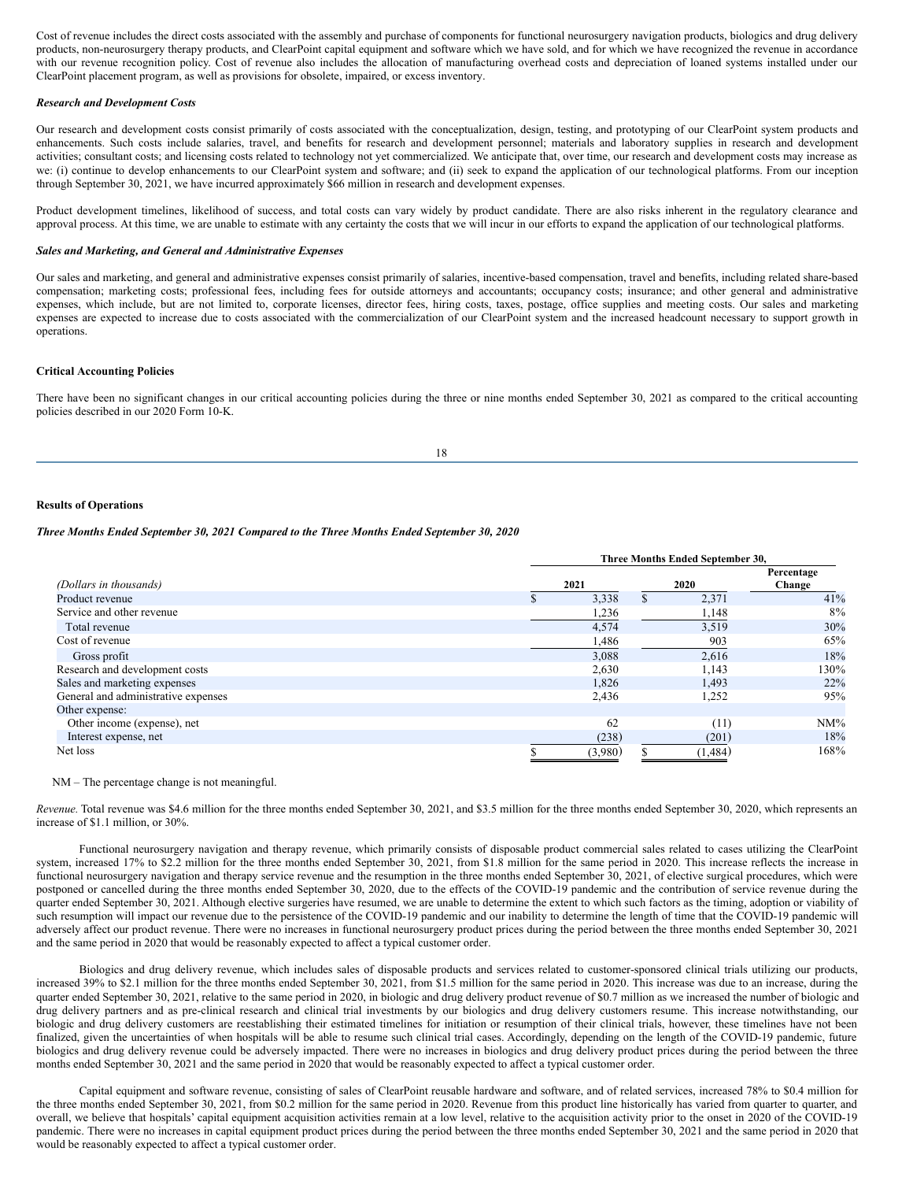Cost of revenue includes the direct costs associated with the assembly and purchase of components for functional neurosurgery navigation products, biologics and drug delivery products, non-neurosurgery therapy products, and ClearPoint capital equipment and software which we have sold, and for which we have recognized the revenue in accordance with our revenue recognition policy. Cost of revenue also includes the allocation of manufacturing overhead costs and depreciation of loaned systems installed under our ClearPoint placement program, as well as provisions for obsolete, impaired, or excess inventory.

### *Research and Development Costs*

Our research and development costs consist primarily of costs associated with the conceptualization, design, testing, and prototyping of our ClearPoint system products and enhancements. Such costs include salaries, travel, and benefits for research and development personnel; materials and laboratory supplies in research and development activities; consultant costs; and licensing costs related to technology not yet commercialized. We anticipate that, over time, our research and development costs may increase as we: (i) continue to develop enhancements to our ClearPoint system and software; and (ii) seek to expand the application of our technological platforms. From our inception through September 30, 2021, we have incurred approximately \$66 million in research and development expenses.

Product development timelines, likelihood of success, and total costs can vary widely by product candidate. There are also risks inherent in the regulatory clearance and approval process. At this time, we are unable to estimate with any certainty the costs that we will incur in our efforts to expand the application of our technological platforms.

### *Sales and Marketing, and General and Administrative Expenses*

Our sales and marketing, and general and administrative expenses consist primarily of salaries, incentive-based compensation, travel and benefits, including related share-based compensation; marketing costs; professional fees, including fees for outside attorneys and accountants; occupancy costs; insurance; and other general and administrative expenses, which include, but are not limited to, corporate licenses, director fees, hiring costs, taxes, postage, office supplies and meeting costs. Our sales and marketing expenses are expected to increase due to costs associated with the commercialization of our ClearPoint system and the increased headcount necessary to support growth in operations.

#### **Critical Accounting Policies**

There have been no significant changes in our critical accounting policies during the three or nine months ended September 30, 2021 as compared to the critical accounting policies described in our 2020 Form 10-K.

#### **Results of Operations**

### *Three Months Ended September 30, 2021 Compared to the Three Months Ended September 30, 2020*

|                                     |         | Three Months Ended September 30, |                      |  |
|-------------------------------------|---------|----------------------------------|----------------------|--|
| (Dollars in thousands)              | 2021    | 2020                             | Percentage<br>Change |  |
| Product revenue                     | 3,338   | 2,371                            | 41%                  |  |
| Service and other revenue           | 1,236   | 1,148                            | 8%                   |  |
| Total revenue                       | 4,574   | 3,519                            | 30%                  |  |
| Cost of revenue                     | 1,486   | 903                              | 65%                  |  |
| Gross profit                        | 3,088   | 2.616                            | 18%                  |  |
| Research and development costs      | 2,630   | 1,143                            | 130%                 |  |
| Sales and marketing expenses        | 1,826   | 1.493                            | 22%                  |  |
| General and administrative expenses | 2,436   | 1,252                            | 95%                  |  |
| Other expense:                      |         |                                  |                      |  |
| Other income (expense), net         | 62      | (11)                             | $NM\%$               |  |
| Interest expense, net               | (238)   | (201)                            | 18%                  |  |
| Net loss                            | (3,980) | (1, 484)                         | 168%                 |  |

NM – The percentage change is not meaningful.

*Revenue.* Total revenue was \$4.6 million for the three months ended September 30, 2021, and \$3.5 million for the three months ended September 30, 2020, which represents an increase of \$1.1 million, or 30%.

Functional neurosurgery navigation and therapy revenue, which primarily consists of disposable product commercial sales related to cases utilizing the ClearPoint system, increased 17% to \$2.2 million for the three months ended September 30, 2021, from \$1.8 million for the same period in 2020. This increase reflects the increase in functional neurosurgery navigation and therapy service revenue and the resumption in the three months ended September 30, 2021, of elective surgical procedures, which were postponed or cancelled during the three months ended September 30, 2020, due to the effects of the COVID-19 pandemic and the contribution of service revenue during the quarter ended September 30, 2021. Although elective surgeries have resumed, we are unable to determine the extent to which such factors as the timing, adoption or viability of such resumption will impact our revenue due to the persistence of the COVID-19 pandemic and our inability to determine the length of time that the COVID-19 pandemic will adversely affect our product revenue. There were no increases in functional neurosurgery product prices during the period between the three months ended September 30, 2021 and the same period in 2020 that would be reasonably expected to affect a typical customer order.

Biologics and drug delivery revenue, which includes sales of disposable products and services related to customer-sponsored clinical trials utilizing our products, increased 39% to \$2.1 million for the three months ended September 30, 2021, from \$1.5 million for the same period in 2020. This increase was due to an increase, during the quarter ended September 30, 2021, relative to the same period in 2020, in biologic and drug delivery product revenue of \$0.7 million as we increased the number of biologic and drug delivery partners and as pre-clinical research and clinical trial investments by our biologics and drug delivery customers resume. This increase notwithstanding, our biologic and drug delivery customers are reestablishing their estimated timelines for initiation or resumption of their clinical trials, however, these timelines have not been finalized, given the uncertainties of when hospitals will be able to resume such clinical trial cases. Accordingly, depending on the length of the COVID-19 pandemic, future biologics and drug delivery revenue could be adversely impacted. There were no increases in biologics and drug delivery product prices during the period between the three months ended September 30, 2021 and the same period in 2020 that would be reasonably expected to affect a typical customer order.

Capital equipment and software revenue, consisting of sales of ClearPoint reusable hardware and software, and of related services, increased 78% to \$0.4 million for the three months ended September 30, 2021, from \$0.2 million for the same period in 2020. Revenue from this product line historically has varied from quarter to quarter, and overall, we believe that hospitals' capital equipment acquisition activities remain at a low level, relative to the acquisition activity prior to the onset in 2020 of the COVID-19 pandemic. There were no increases in capital equipment product prices during the period between the three months ended September 30, 2021 and the same period in 2020 that would be reasonably expected to affect a typical customer order.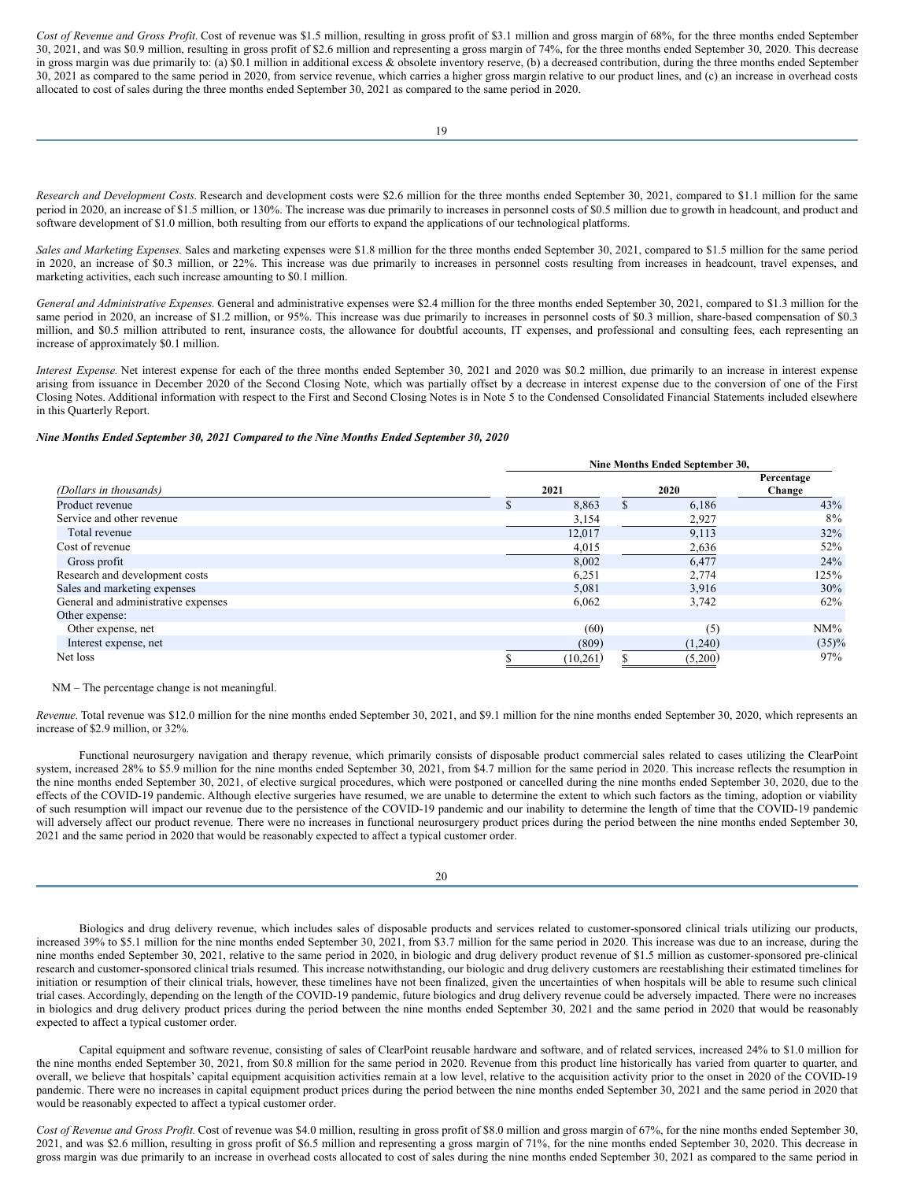*Cost of Revenue and Gross Profit.* Cost of revenue was \$1.5 million, resulting in gross profit of \$3.1 million and gross margin of 68%, for the three months ended September 30, 2021, and was \$0.9 million, resulting in gross profit of \$2.6 million and representing a gross margin of 74%, for the three months ended September 30, 2020. This decrease in gross margin was due primarily to: (a) \$0.1 million in additional excess & obsolete inventory reserve, (b) a decreased contribution, during the three months ended September 30, 2021 as compared to the same period in 2020, from service revenue, which carries a higher gross margin relative to our product lines, and (c) an increase in overhead costs allocated to cost of sales during the three months ended September 30, 2021 as compared to the same period in 2020.

*Research and Development Costs.* Research and development costs were \$2.6 million for the three months ended September 30, 2021, compared to \$1.1 million for the same period in 2020, an increase of \$1.5 million, or 130%. The increase was due primarily to increases in personnel costs of \$0.5 million due to growth in headcount, and product and software development of \$1.0 million, both resulting from our efforts to expand the applications of our technological platforms.

*Sales and Marketing Expenses.* Sales and marketing expenses were \$1.8 million for the three months ended September 30, 2021, compared to \$1.5 million for the same period in 2020, an increase of \$0.3 million, or 22%. This increase was due primarily to increases in personnel costs resulting from increases in headcount, travel expenses, and marketing activities, each such increase amounting to \$0.1 million.

*General and Administrative Expenses*. General and administrative expenses were \$2.4 million for the three months ended September 30, 2021, compared to \$1.3 million for the same period in 2020, an increase of \$1.2 million, or 95%. This increase was due primarily to increases in personnel costs of \$0.3 million, share-based compensation of \$0.3 million, and \$0.5 million attributed to rent, insurance costs, the allowance for doubtful accounts, IT expenses, and professional and consulting fees, each representing an increase of approximately \$0.1 million.

*Interest Expense.* Net interest expense for each of the three months ended September 30, 2021 and 2020 was \$0.2 million, due primarily to an increase in interest expense arising from issuance in December 2020 of the Second Closing Note, which was partially offset by a decrease in interest expense due to the conversion of one of the First Closing Notes. Additional information with respect to the First and Second Closing Notes is in Note 5 to the Condensed Consolidated Financial Statements included elsewhere in this Quarterly Report.

### *Nine Months Ended September 30, 2021 Compared to the Nine Months Ended September 30, 2020*

|                                     | Nine Months Ended September 30, |  |         |                      |  |  |
|-------------------------------------|---------------------------------|--|---------|----------------------|--|--|
| (Dollars in thousands)              | 2021                            |  | 2020    | Percentage<br>Change |  |  |
| Product revenue                     | 8,863                           |  | 6,186   | 43%                  |  |  |
| Service and other revenue           | 3,154                           |  | 2,927   | $8\%$                |  |  |
| Total revenue                       | 12.017                          |  | 9,113   | 32%                  |  |  |
| Cost of revenue                     | 4,015                           |  | 2,636   | 52%                  |  |  |
| Gross profit                        | 8.002                           |  | 6.477   | 24%                  |  |  |
| Research and development costs      | 6,251                           |  | 2,774   | 125%                 |  |  |
| Sales and marketing expenses        | 5,081                           |  | 3,916   | 30%                  |  |  |
| General and administrative expenses | 6,062                           |  | 3,742   | 62%                  |  |  |
| Other expense:                      |                                 |  |         |                      |  |  |
| Other expense, net                  | (60)                            |  | (5)     | $NM\%$               |  |  |
| Interest expense, net               | (809)                           |  | (1,240) | $(35)\%$             |  |  |
| Net loss                            | (10, 261)                       |  | (5,200) | 97%                  |  |  |

NM – The percentage change is not meaningful.

*Revenue.* Total revenue was \$12.0 million for the nine months ended September 30, 2021, and \$9.1 million for the nine months ended September 30, 2020, which represents an increase of \$2.9 million, or 32%.

Functional neurosurgery navigation and therapy revenue, which primarily consists of disposable product commercial sales related to cases utilizing the ClearPoint system, increased 28% to \$5.9 million for the nine months ended September 30, 2021, from \$4.7 million for the same period in 2020. This increase reflects the resumption in the nine months ended September 30, 2021, of elective surgical procedures, which were postponed or cancelled during the nine months ended September 30, 2020, due to the effects of the COVID-19 pandemic. Although elective surgeries have resumed, we are unable to determine the extent to which such factors as the timing, adoption or viability of such resumption will impact our revenue due to the persistence of the COVID-19 pandemic and our inability to determine the length of time that the COVID-19 pandemic will adversely affect our product revenue. There were no increases in functional neurosurgery product prices during the period between the nine months ended September 30, 2021 and the same period in 2020 that would be reasonably expected to affect a typical customer order.

| v  | ۰.     |  |
|----|--------|--|
| ۰. | ٠<br>I |  |

Biologics and drug delivery revenue, which includes sales of disposable products and services related to customer-sponsored clinical trials utilizing our products, increased 39% to \$5.1 million for the nine months ended September 30, 2021, from \$3.7 million for the same period in 2020. This increase was due to an increase, during the nine months ended September 30, 2021, relative to the same period in 2020, in biologic and drug delivery product revenue of \$1.5 million as customer-sponsored pre-clinical research and customer-sponsored clinical trials resumed. This increase notwithstanding, our biologic and drug delivery customers are reestablishing their estimated timelines for initiation or resumption of their clinical trials, however, these timelines have not been finalized, given the uncertainties of when hospitals will be able to resume such clinical trial cases. Accordingly, depending on the length of the COVID-19 pandemic, future biologics and drug delivery revenue could be adversely impacted. There were no increases in biologics and drug delivery product prices during the period between the nine months ended September 30, 2021 and the same period in 2020 that would be reasonably expected to affect a typical customer order.

Capital equipment and software revenue, consisting of sales of ClearPoint reusable hardware and software, and of related services, increased 24% to \$1.0 million for the nine months ended September 30, 2021, from \$0.8 million for the same period in 2020. Revenue from this product line historically has varied from quarter to quarter, and overall, we believe that hospitals' capital equipment acquisition activities remain at a low level, relative to the acquisition activity prior to the onset in 2020 of the COVID-19 pandemic. There were no increases in capital equipment product prices during the period between the nine months ended September 30, 2021 and the same period in 2020 that would be reasonably expected to affect a typical customer order.

*Cost of Revenue and Gross Profit.* Cost of revenue was \$4.0 million, resulting in gross profit of \$8.0 million and gross margin of 67%, for the nine months ended September 30, 2021, and was \$2.6 million, resulting in gross profit of \$6.5 million and representing a gross margin of 71%, for the nine months ended September 30, 2020. This decrease in gross margin was due primarily to an increase in overhead costs allocated to cost of sales during the nine months ended September 30, 2021 as compared to the same period in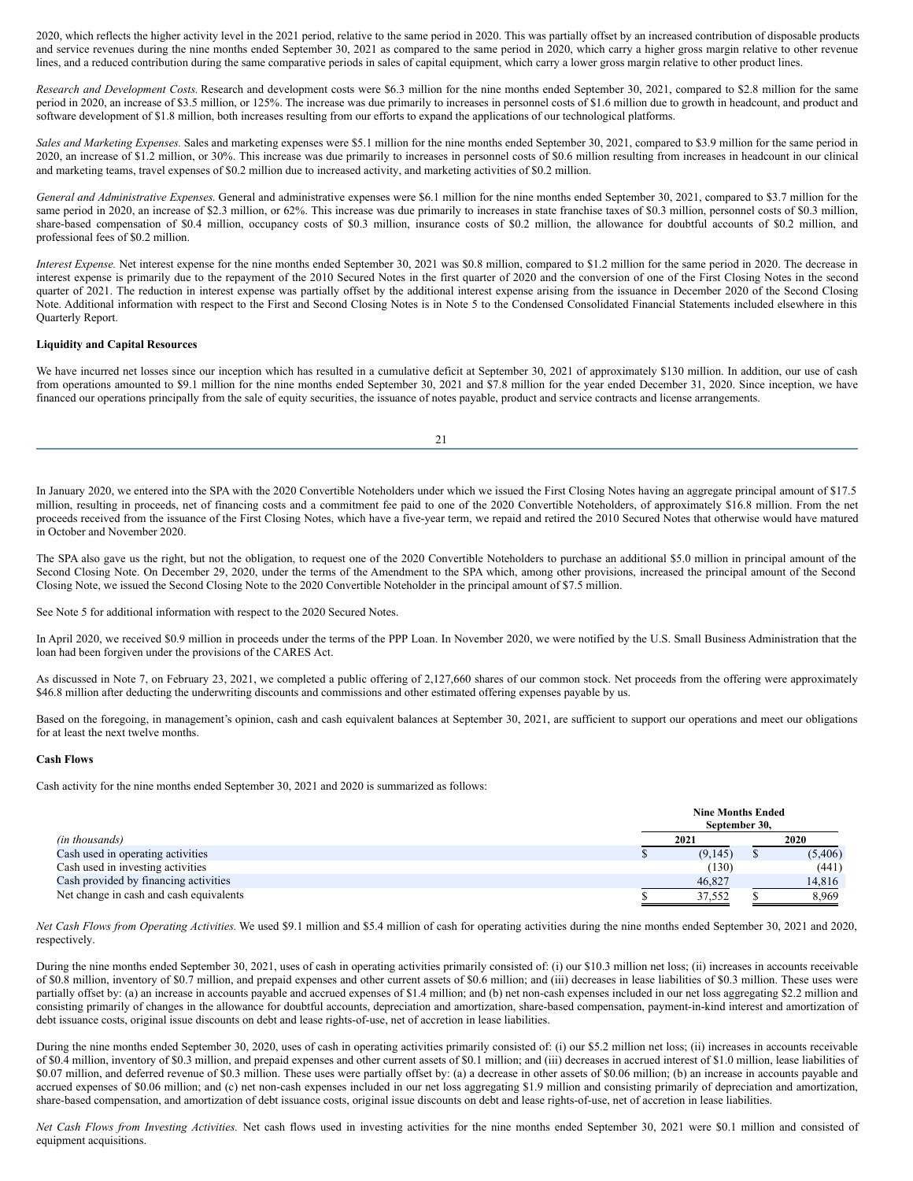2020, which reflects the higher activity level in the 2021 period, relative to the same period in 2020. This was partially offset by an increased contribution of disposable products and service revenues during the nine months ended September 30, 2021 as compared to the same period in 2020, which carry a higher gross margin relative to other revenue lines, and a reduced contribution during the same comparative periods in sales of capital equipment, which carry a lower gross margin relative to other product lines.

*Research and Development Costs.* Research and development costs were \$6.3 million for the nine months ended September 30, 2021, compared to \$2.8 million for the same period in 2020, an increase of \$3.5 million, or 125%. The increase was due primarily to increases in personnel costs of \$1.6 million due to growth in headcount, and product and software development of \$1.8 million, both increases resulting from our efforts to expand the applications of our technological platforms.

*Sales and Marketing Expenses.* Sales and marketing expenses were \$5.1 million for the nine months ended September 30, 2021, compared to \$3.9 million for the same period in 2020, an increase of \$1.2 million, or 30%. This increase was due primarily to increases in personnel costs of \$0.6 million resulting from increases in headcount in our clinical and marketing teams, travel expenses of \$0.2 million due to increased activity, and marketing activities of \$0.2 million.

*General and Administrative Expenses*. General and administrative expenses were \$6.1 million for the nine months ended September 30, 2021, compared to \$3.7 million for the same period in 2020, an increase of \$2.3 million, or 62%. This increase was due primarily to increases in state franchise taxes of \$0.3 million, personnel costs of \$0.3 million, share-based compensation of \$0.4 million, occupancy costs of \$0.3 million, insurance costs of \$0.2 million, the allowance for doubtful accounts of \$0.2 million, and professional fees of \$0.2 million.

*Interest Expense.* Net interest expense for the nine months ended September 30, 2021 was \$0.8 million, compared to \$1.2 million for the same period in 2020. The decrease in interest expense is primarily due to the repayment of the 2010 Secured Notes in the first quarter of 2020 and the conversion of one of the First Closing Notes in the second quarter of 2021. The reduction in interest expense was partially offset by the additional interest expense arising from the issuance in December 2020 of the Second Closing Note. Additional information with respect to the First and Second Closing Notes is in Note 5 to the Condensed Consolidated Financial Statements included elsewhere in this Quarterly Report.

### **Liquidity and Capital Resources**

We have incurred net losses since our inception which has resulted in a cumulative deficit at September 30, 2021 of approximately \$130 million. In addition, our use of cash from operations amounted to \$9.1 million for the nine months ended September 30, 2021 and \$7.8 million for the year ended December 31, 2020. Since inception, we have financed our operations principally from the sale of equity securities, the issuance of notes payable, product and service contracts and license arrangements.

In January 2020, we entered into the SPA with the 2020 Convertible Noteholders under which we issued the First Closing Notes having an aggregate principal amount of \$17.5 million, resulting in proceeds, net of financing costs and a commitment fee paid to one of the 2020 Convertible Noteholders, of approximately \$16.8 million. From the net proceeds received from the issuance of the First Closing Notes, which have a five-year term, we repaid and retired the 2010 Secured Notes that otherwise would have matured in October and November 2020.

The SPA also gave us the right, but not the obligation, to request one of the 2020 Convertible Noteholders to purchase an additional \$5.0 million in principal amount of the Second Closing Note. On December 29, 2020, under the terms of the Amendment to the SPA which, among other provisions, increased the principal amount of the Second Closing Note, we issued the Second Closing Note to the 2020 Convertible Noteholder in the principal amount of \$7.5 million.

See Note 5 for additional information with respect to the 2020 Secured Notes.

In April 2020, we received \$0.9 million in proceeds under the terms of the PPP Loan. In November 2020, we were notified by the U.S. Small Business Administration that the loan had been forgiven under the provisions of the CARES Act.

As discussed in Note 7, on February 23, 2021, we completed a public offering of 2,127,660 shares of our common stock. Net proceeds from the offering were approximately \$46.8 million after deducting the underwriting discounts and commissions and other estimated offering expenses payable by us.

Based on the foregoing, in management's opinion, cash and cash equivalent balances at September 30, 2021, are sufficient to support our operations and meet our obligations for at least the next twelve months.

# **Cash Flows**

Cash activity for the nine months ended September 30, 2021 and 2020 is summarized as follows:

|                                         | <b>Nine Months Ended</b><br>September 30, |         |
|-----------------------------------------|-------------------------------------------|---------|
| (in thousands)                          | 2021                                      | 2020    |
| Cash used in operating activities       | (9,145)                                   | (5,406) |
| Cash used in investing activities       | (130)                                     | (441)   |
| Cash provided by financing activities   | 46,827                                    | 14.816  |
| Net change in cash and cash equivalents | 37,552                                    | 8,969   |

*Net Cash Flows from Operating Activities.* We used \$9.1 million and \$5.4 million of cash for operating activities during the nine months ended September 30, 2021 and 2020, respectively.

During the nine months ended September 30, 2021, uses of cash in operating activities primarily consisted of: (i) our \$10.3 million net loss; (ii) increases in accounts receivable of \$0.8 million, inventory of \$0.7 million, and prepaid expenses and other current assets of \$0.6 million; and (iii) decreases in lease liabilities of \$0.3 million. These uses were partially offset by: (a) an increase in accounts payable and accrued expenses of \$1.4 million; and (b) net non-cash expenses included in our net loss aggregating \$2.2 million and consisting primarily of changes in the allowance for doubtful accounts, depreciation and amortization, share-based compensation, payment-in-kind interest and amortization of debt issuance costs, original issue discounts on debt and lease rights-of-use, net of accretion in lease liabilities.

During the nine months ended September 30, 2020, uses of cash in operating activities primarily consisted of: (i) our \$5.2 million net loss; (ii) increases in accounts receivable of \$0.4 million, inventory of \$0.3 million, and prepaid expenses and other current assets of \$0.1 million; and (iii) decreases in accrued interest of \$1.0 million, lease liabilities of \$0.07 million, and deferred revenue of \$0.3 million. These uses were partially offset by: (a) a decrease in other assets of \$0.06 million; (b) an increase in accounts payable and accrued expenses of \$0.06 million; and (c) net non-cash expenses included in our net loss aggregating \$1.9 million and consisting primarily of depreciation and amortization, share-based compensation, and amortization of debt issuance costs, original issue discounts on debt and lease rights-of-use, net of accretion in lease liabilities.

*Net Cash Flows from Investing Activities.* Net cash flows used in investing activities for the nine months ended September 30, 2021 were \$0.1 million and consisted of equipment acquisitions.

## $21$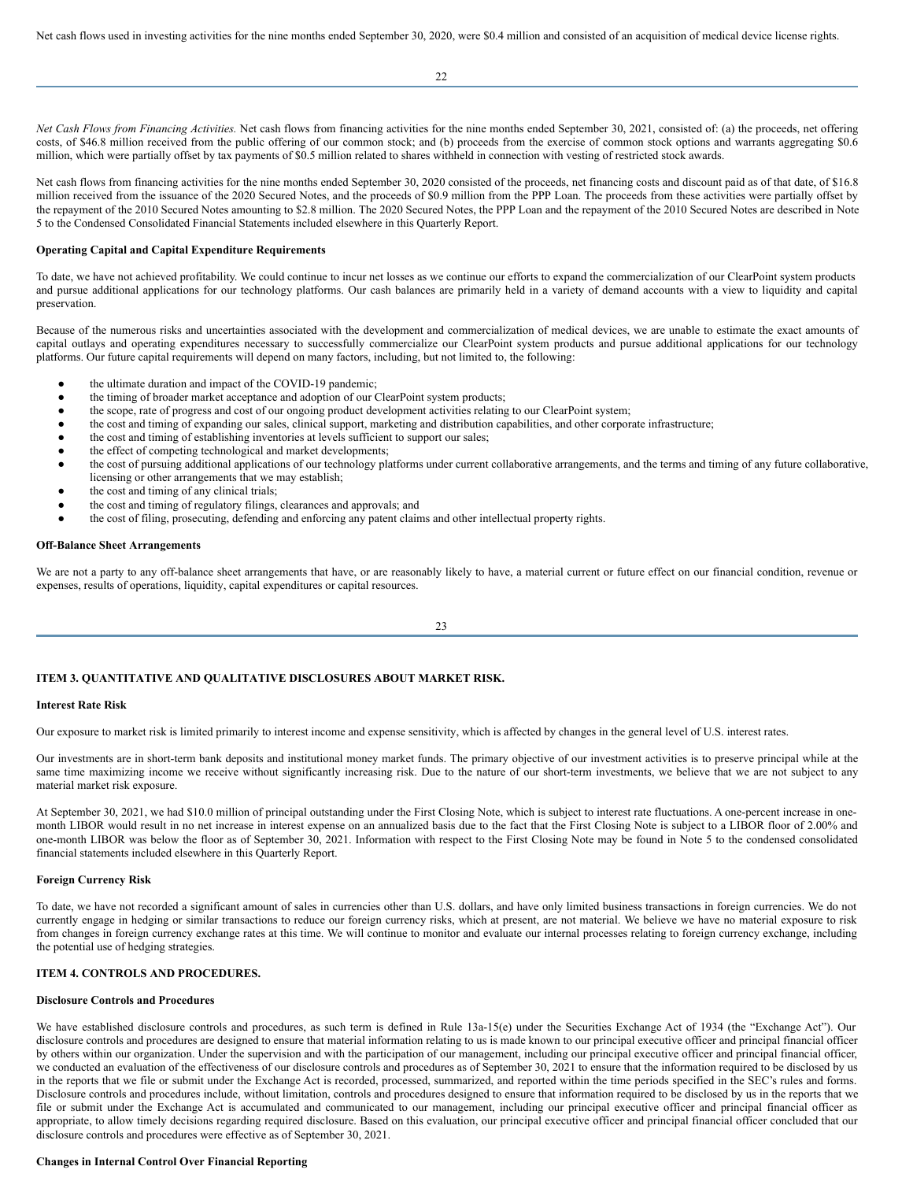$22$ 

*Net Cash Flows from Financing Activities.* Net cash flows from financing activities for the nine months ended September 30, 2021, consisted of: (a) the proceeds, net offering costs, of \$46.8 million received from the public offering of our common stock; and (b) proceeds from the exercise of common stock options and warrants aggregating \$0.6 million, which were partially offset by tax payments of \$0.5 million related to shares withheld in connection with vesting of restricted stock awards.

Net cash flows from financing activities for the nine months ended September 30, 2020 consisted of the proceeds, net financing costs and discount paid as of that date, of \$16.8 million received from the issuance of the 2020 Secured Notes, and the proceeds of \$0.9 million from the PPP Loan. The proceeds from these activities were partially offset by the repayment of the 2010 Secured Notes amounting to \$2.8 million. The 2020 Secured Notes, the PPP Loan and the repayment of the 2010 Secured Notes are described in Note 5 to the Condensed Consolidated Financial Statements included elsewhere in this Quarterly Report.

### **Operating Capital and Capital Expenditure Requirements**

To date, we have not achieved profitability. We could continue to incur net losses as we continue our efforts to expand the commercialization of our ClearPoint system products and pursue additional applications for our technology platforms. Our cash balances are primarily held in a variety of demand accounts with a view to liquidity and capital preservation.

Because of the numerous risks and uncertainties associated with the development and commercialization of medical devices, we are unable to estimate the exact amounts of capital outlays and operating expenditures necessary to successfully commercialize our ClearPoint system products and pursue additional applications for our technology platforms. Our future capital requirements will depend on many factors, including, but not limited to, the following:

- the ultimate duration and impact of the COVID-19 pandemic;
- the timing of broader market acceptance and adoption of our ClearPoint system products;
- the scope, rate of progress and cost of our ongoing product development activities relating to our ClearPoint system;
- the cost and timing of expanding our sales, clinical support, marketing and distribution capabilities, and other corporate infrastructure;
- the cost and timing of establishing inventories at levels sufficient to support our sales;
- the effect of competing technological and market developments;
- the cost of pursuing additional applications of our technology platforms under current collaborative arrangements, and the terms and timing of any future collaborative, licensing or other arrangements that we may establish;
- the cost and timing of any clinical trials;
- the cost and timing of regulatory filings, clearances and approvals; and
- the cost of filing, prosecuting, defending and enforcing any patent claims and other intellectual property rights.

### **Off-Balance Sheet Arrangements**

We are not a party to any off-balance sheet arrangements that have, or are reasonably likely to have, a material current or future effect on our financial condition, revenue or expenses, results of operations, liquidity, capital expenditures or capital resources.

#### 23

### **ITEM 3. QUANTITATIVE AND QUALITATIVE DISCLOSURES ABOUT MARKET RISK.**

### **Interest Rate Risk**

Our exposure to market risk is limited primarily to interest income and expense sensitivity, which is affected by changes in the general level of U.S. interest rates.

Our investments are in short-term bank deposits and institutional money market funds. The primary objective of our investment activities is to preserve principal while at the same time maximizing income we receive without significantly increasing risk. Due to the nature of our short-term investments, we believe that we are not subject to any material market risk exposure.

At September 30, 2021, we had \$10.0 million of principal outstanding under the First Closing Note, which is subject to interest rate fluctuations. A one-percent increase in onemonth LIBOR would result in no net increase in interest expense on an annualized basis due to the fact that the First Closing Note is subject to a LIBOR floor of 2.00% and one-month LIBOR was below the floor as of September 30, 2021. Information with respect to the First Closing Note may be found in Note 5 to the condensed consolidated financial statements included elsewhere in this Quarterly Report.

#### **Foreign Currency Risk**

To date, we have not recorded a significant amount of sales in currencies other than U.S. dollars, and have only limited business transactions in foreign currencies. We do not currently engage in hedging or similar transactions to reduce our foreign currency risks, which at present, are not material. We believe we have no material exposure to risk from changes in foreign currency exchange rates at this time. We will continue to monitor and evaluate our internal processes relating to foreign currency exchange, including the potential use of hedging strategies.

# **ITEM 4. CONTROLS AND PROCEDURES.**

### **Disclosure Controls and Procedures**

We have established disclosure controls and procedures, as such term is defined in Rule 13a-15(e) under the Securities Exchange Act of 1934 (the "Exchange Act"). Our disclosure controls and procedures are designed to ensure that material information relating to us is made known to our principal executive officer and principal financial officer by others within our organization. Under the supervision and with the participation of our management, including our principal executive officer and principal financial officer, we conducted an evaluation of the effectiveness of our disclosure controls and procedures as of September 30, 2021 to ensure that the information required to be disclosed by us in the reports that we file or submit under the Exchange Act is recorded, processed, summarized, and reported within the time periods specified in the SEC's rules and forms. Disclosure controls and procedures include, without limitation, controls and procedures designed to ensure that information required to be disclosed by us in the reports that we file or submit under the Exchange Act is accumulated and communicated to our management, including our principal executive officer and principal financial officer as appropriate, to allow timely decisions regarding required disclosure. Based on this evaluation, our principal executive officer and principal financial officer concluded that our disclosure controls and procedures were effective as of September 30, 2021.

# **Changes in Internal Control Over Financial Reporting**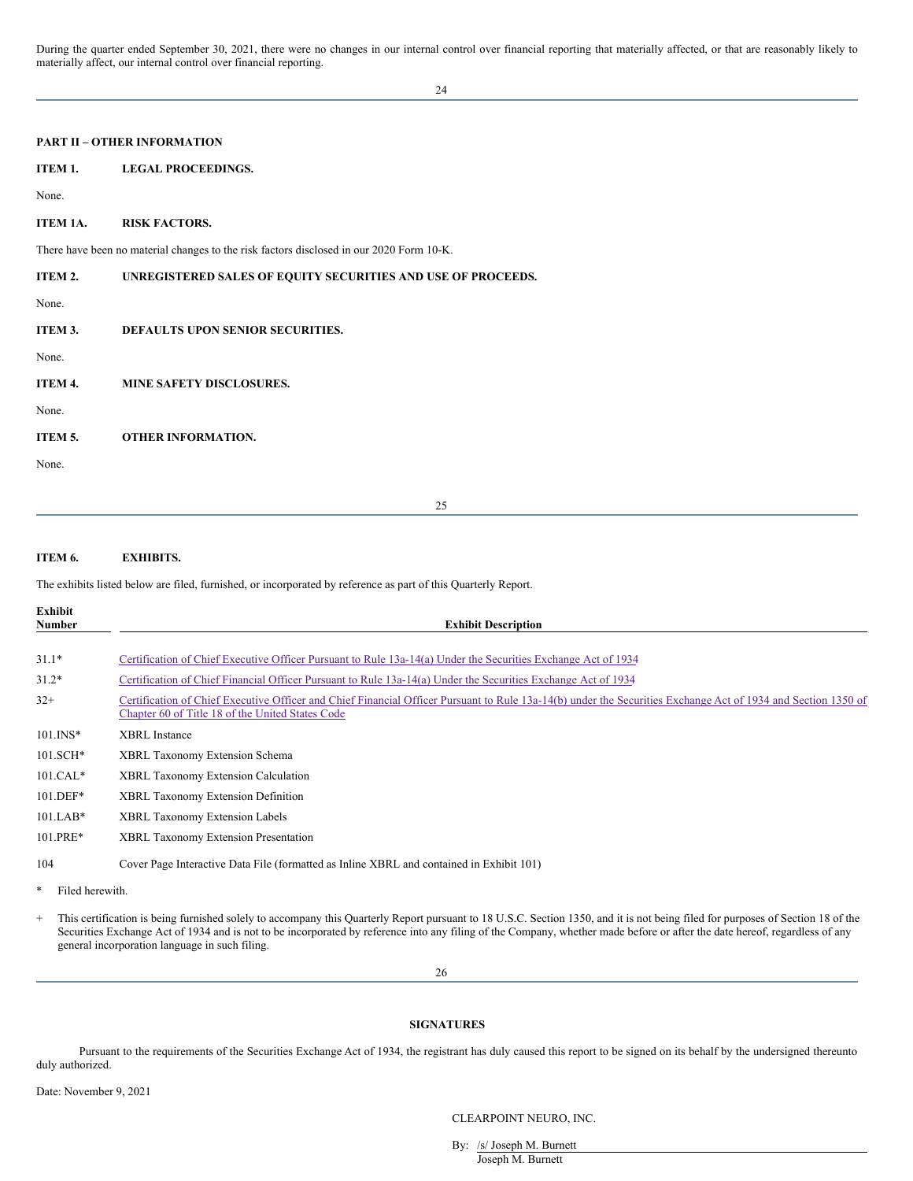During the quarter ended September 30, 2021, there were no changes in our internal control over financial reporting that materially affected, or that are reasonably likely to materially affect, our internal control over financial reporting.

24

# **PART II – OTHER INFORMATION ITEM 1. LEGAL PROCEEDINGS.** None. **ITEM 1A. RISK FACTORS.** There have been no material changes to the risk factors disclosed in our 2020 Form 10-K. **ITEM 2. UNREGISTERED SALES OF EQUITY SECURITIES AND USE OF PROCEEDS.** None. **ITEM 3. DEFAULTS UPON SENIOR SECURITIES.** None. **ITEM 4. MINE SAFETY DISCLOSURES.** None. **ITEM 5. OTHER INFORMATION.** None. 25

# **ITEM 6. EXHIBITS.**

The exhibits listed below are filed, furnished, or incorporated by reference as part of this Quarterly Report.

| Exhibit<br>Number   | <b>Exhibit Description</b>                                                                                                                                                                                        |
|---------------------|-------------------------------------------------------------------------------------------------------------------------------------------------------------------------------------------------------------------|
| $31.1*$             | Certification of Chief Executive Officer Pursuant to Rule 13a-14(a) Under the Securities Exchange Act of 1934                                                                                                     |
| $31.2*$             | Certification of Chief Financial Officer Pursuant to Rule 13a-14(a) Under the Securities Exchange Act of 1934                                                                                                     |
| $32+$               | Certification of Chief Executive Officer and Chief Financial Officer Pursuant to Rule 13a-14(b) under the Securities Exchange Act of 1934 and Section 1350 of<br>Chapter 60 of Title 18 of the United States Code |
| $101$ . INS*        | <b>XBRL</b> Instance                                                                                                                                                                                              |
| $101.SCH*$          | <b>XBRL Taxonomy Extension Schema</b>                                                                                                                                                                             |
| $101.CAL*$          | <b>XBRL Taxonomy Extension Calculation</b>                                                                                                                                                                        |
| $101.DEF*$          | <b>XBRL Taxonomy Extension Definition</b>                                                                                                                                                                         |
| $101.LAB*$          | <b>XBRL Taxonomy Extension Labels</b>                                                                                                                                                                             |
| 101.PRE*            | <b>XBRL Taxonomy Extension Presentation</b>                                                                                                                                                                       |
| 104                 | Cover Page Interactive Data File (formatted as Inline XBRL and contained in Exhibit 101)                                                                                                                          |
| *<br>Filed herewith |                                                                                                                                                                                                                   |

This certification is being furnished solely to accompany this Quarterly Report pursuant to 18 U.S.C. Section 1350, and it is not being filed for purposes of Section 18 of the Securities Exchange Act of 1934 and is not to be incorporated by reference into any filing of the Company, whether made before or after the date hereof, regardless of any general incorporation language in such filing.

26

# **SIGNATURES**

Pursuant to the requirements of the Securities Exchange Act of 1934, the registrant has duly caused this report to be signed on its behalf by the undersigned thereunto duly authorized.

Date: November 9, 2021

CLEARPOINT NEURO, INC.

By: /s/ Joseph M. Burnett Joseph M. Burnett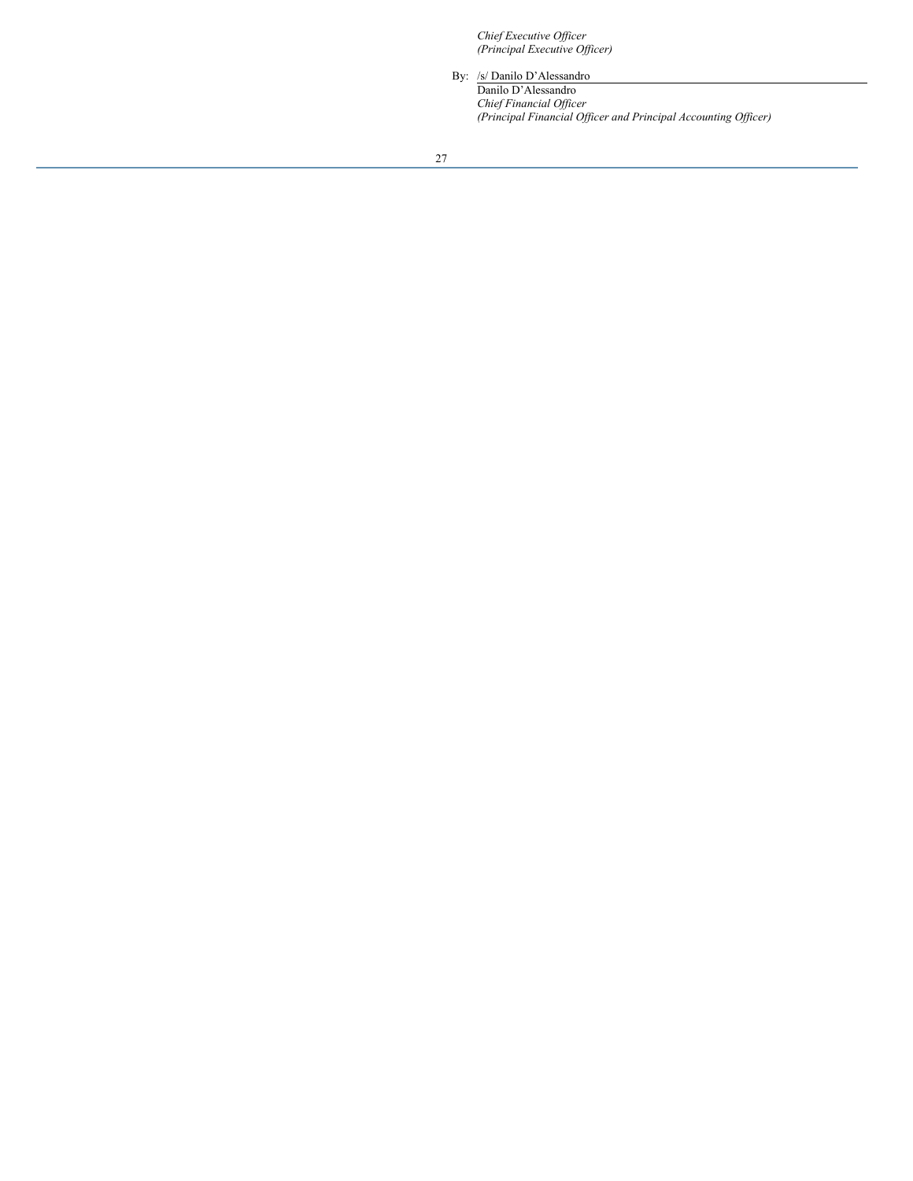*Chief Executive Of icer (Principal Executive Of icer)*

By: /s/ Danilo D'Alessandro Danilo D'Alessandro *Chief Financial Of icer (Principal Financial Of icer and Principal Accounting Of icer)*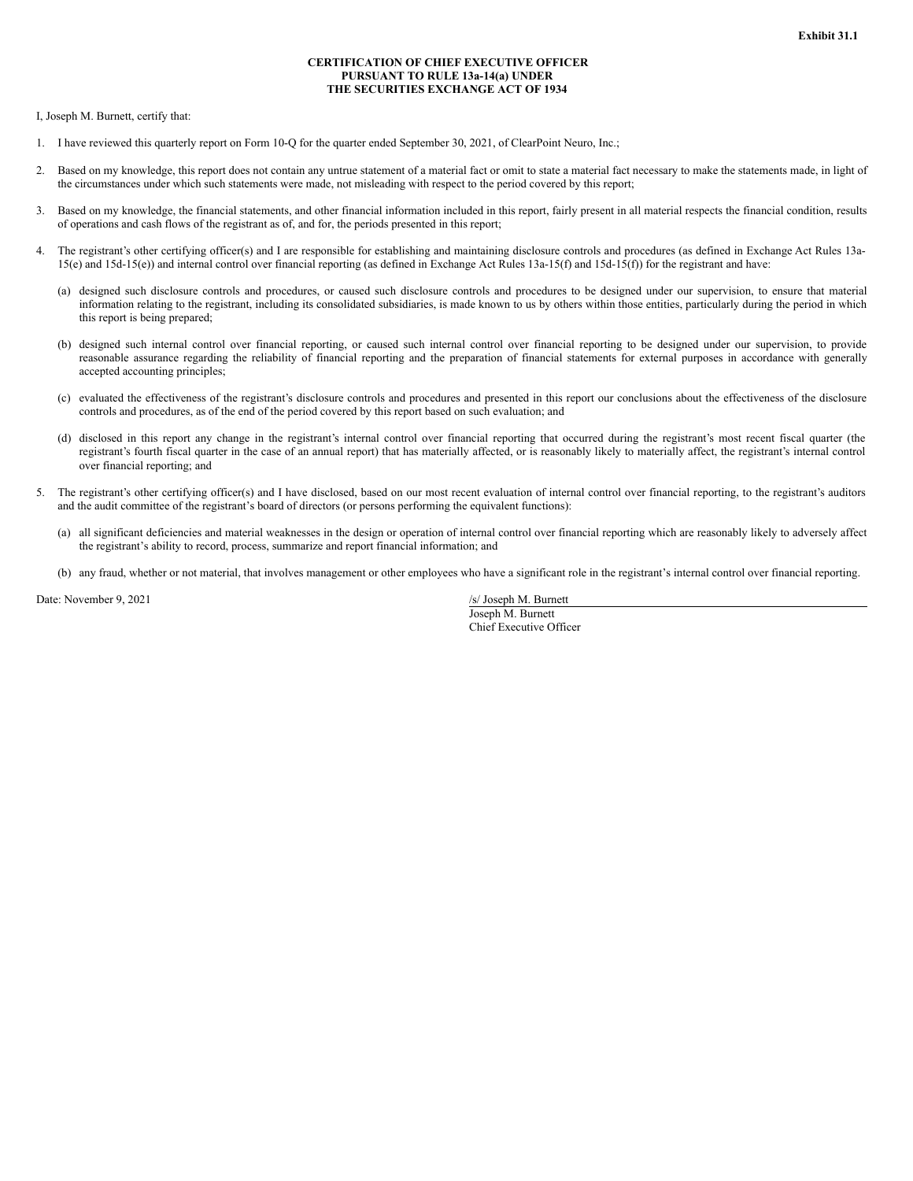### **CERTIFICATION OF CHIEF EXECUTIVE OFFICER PURSUANT TO RULE 13a-14(a) UNDER THE SECURITIES EXCHANGE ACT OF 1934**

<span id="page-19-0"></span>I, Joseph M. Burnett, certify that:

- 1. I have reviewed this quarterly report on Form 10-Q for the quarter ended September 30, 2021, of ClearPoint Neuro, Inc.;
- 2. Based on my knowledge, this report does not contain any untrue statement of a material fact or omit to state a material fact necessary to make the statements made, in light of the circumstances under which such statements were made, not misleading with respect to the period covered by this report;
- 3. Based on my knowledge, the financial statements, and other financial information included in this report, fairly present in all material respects the financial condition, results of operations and cash flows of the registrant as of, and for, the periods presented in this report;
- 4. The registrant's other certifying officer(s) and I are responsible for establishing and maintaining disclosure controls and procedures (as defined in Exchange Act Rules 13a-15(e) and 15d-15(e)) and internal control over financial reporting (as defined in Exchange Act Rules 13a-15(f) and 15d-15(f)) for the registrant and have:
	- (a) designed such disclosure controls and procedures, or caused such disclosure controls and procedures to be designed under our supervision, to ensure that material information relating to the registrant, including its consolidated subsidiaries, is made known to us by others within those entities, particularly during the period in which this report is being prepared;
	- (b) designed such internal control over financial reporting, or caused such internal control over financial reporting to be designed under our supervision, to provide reasonable assurance regarding the reliability of financial reporting and the preparation of financial statements for external purposes in accordance with generally accepted accounting principles;
	- (c) evaluated the effectiveness of the registrant's disclosure controls and procedures and presented in this report our conclusions about the effectiveness of the disclosure controls and procedures, as of the end of the period covered by this report based on such evaluation; and
	- (d) disclosed in this report any change in the registrant's internal control over financial reporting that occurred during the registrant's most recent fiscal quarter (the registrant's fourth fiscal quarter in the case of an annual report) that has materially affected, or is reasonably likely to materially affect, the registrant's internal control over financial reporting; and
- 5. The registrant's other certifying officer(s) and I have disclosed, based on our most recent evaluation of internal control over financial reporting, to the registrant's auditors and the audit committee of the registrant's board of directors (or persons performing the equivalent functions):
	- (a) all significant deficiencies and material weaknesses in the design or operation of internal control over financial reporting which are reasonably likely to adversely affect the registrant's ability to record, process, summarize and report financial information; and
	- (b) any fraud, whether or not material, that involves management or other employees who have a significant role in the registrant's internal control over financial reporting.

Date: November 9, 2021 /s/ Joseph M. Burnett

Joseph M. Burnett Chief Executive Officer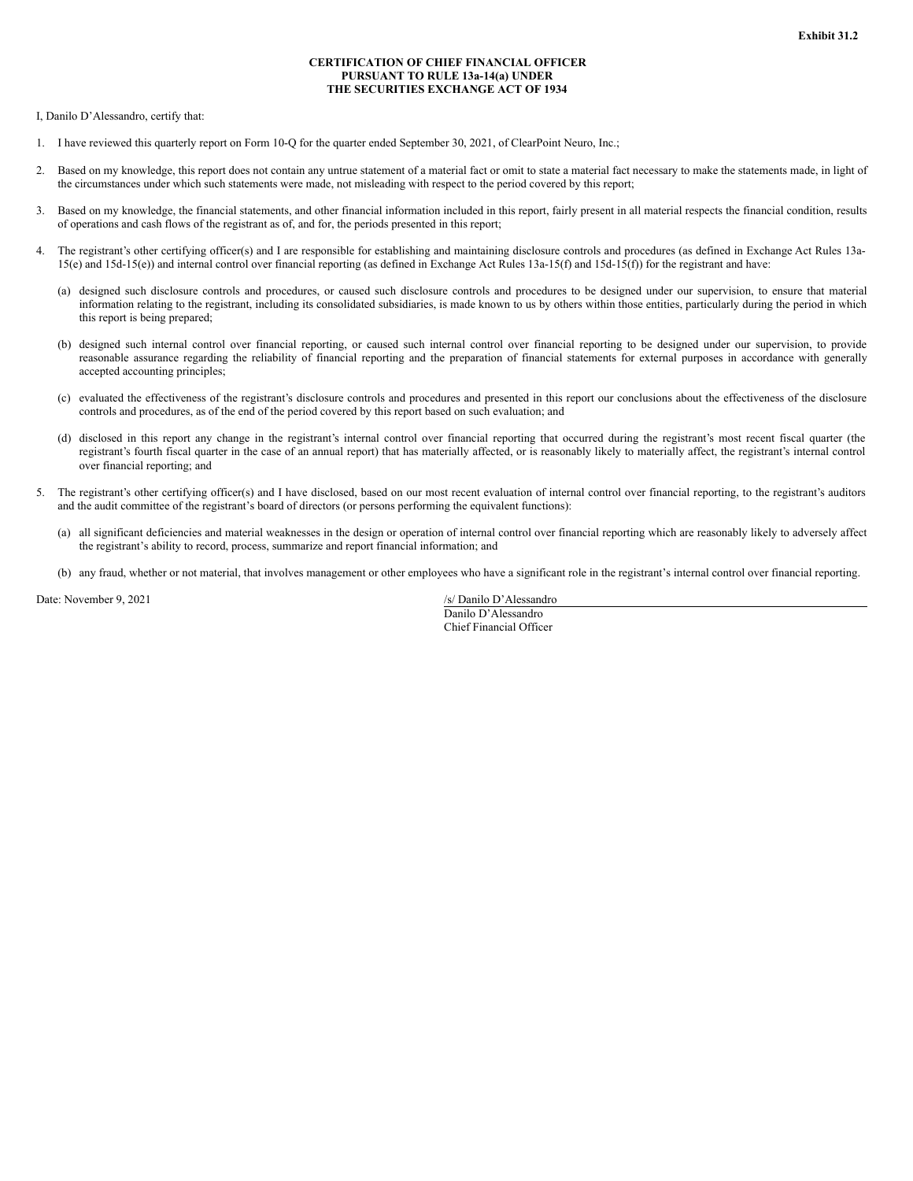### **CERTIFICATION OF CHIEF FINANCIAL OFFICER PURSUANT TO RULE 13a-14(a) UNDER THE SECURITIES EXCHANGE ACT OF 1934**

<span id="page-20-0"></span>I, Danilo D'Alessandro, certify that:

- 1. I have reviewed this quarterly report on Form 10-Q for the quarter ended September 30, 2021, of ClearPoint Neuro, Inc.;
- 2. Based on my knowledge, this report does not contain any untrue statement of a material fact or omit to state a material fact necessary to make the statements made, in light of the circumstances under which such statements were made, not misleading with respect to the period covered by this report;
- 3. Based on my knowledge, the financial statements, and other financial information included in this report, fairly present in all material respects the financial condition, results of operations and cash flows of the registrant as of, and for, the periods presented in this report;
- 4. The registrant's other certifying officer(s) and I are responsible for establishing and maintaining disclosure controls and procedures (as defined in Exchange Act Rules 13a-15(e) and 15d-15(e)) and internal control over financial reporting (as defined in Exchange Act Rules 13a-15(f) and 15d-15(f)) for the registrant and have:
	- (a) designed such disclosure controls and procedures, or caused such disclosure controls and procedures to be designed under our supervision, to ensure that material information relating to the registrant, including its consolidated subsidiaries, is made known to us by others within those entities, particularly during the period in which this report is being prepared;
	- (b) designed such internal control over financial reporting, or caused such internal control over financial reporting to be designed under our supervision, to provide reasonable assurance regarding the reliability of financial reporting and the preparation of financial statements for external purposes in accordance with generally accepted accounting principles;
	- (c) evaluated the effectiveness of the registrant's disclosure controls and procedures and presented in this report our conclusions about the effectiveness of the disclosure controls and procedures, as of the end of the period covered by this report based on such evaluation; and
	- (d) disclosed in this report any change in the registrant's internal control over financial reporting that occurred during the registrant's most recent fiscal quarter (the registrant's fourth fiscal quarter in the case of an annual report) that has materially affected, or is reasonably likely to materially affect, the registrant's internal control over financial reporting; and
- 5. The registrant's other certifying officer(s) and I have disclosed, based on our most recent evaluation of internal control over financial reporting, to the registrant's auditors and the audit committee of the registrant's board of directors (or persons performing the equivalent functions):
	- (a) all significant deficiencies and material weaknesses in the design or operation of internal control over financial reporting which are reasonably likely to adversely affect the registrant's ability to record, process, summarize and report financial information; and
	- (b) any fraud, whether or not material, that involves management or other employees who have a significant role in the registrant's internal control over financial reporting.

Date: November 9, 2021 /s/ Danilo D'Alessandro Danilo D'Alessandro Chief Financial Officer